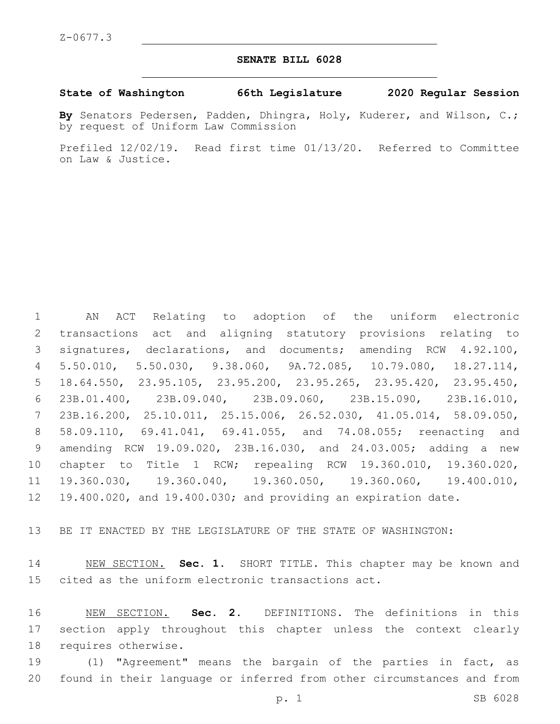## **SENATE BILL 6028**

## **State of Washington 66th Legislature 2020 Regular Session**

**By** Senators Pedersen, Padden, Dhingra, Holy, Kuderer, and Wilson, C.; by request of Uniform Law Commission

Prefiled 12/02/19. Read first time 01/13/20. Referred to Committee on Law & Justice.

 AN ACT Relating to adoption of the uniform electronic transactions act and aligning statutory provisions relating to signatures, declarations, and documents; amending RCW 4.92.100, 5.50.010, 5.50.030, 9.38.060, 9A.72.085, 10.79.080, 18.27.114, 18.64.550, 23.95.105, 23.95.200, 23.95.265, 23.95.420, 23.95.450, 23B.01.400, 23B.09.040, 23B.09.060, 23B.15.090, 23B.16.010, 23B.16.200, 25.10.011, 25.15.006, 26.52.030, 41.05.014, 58.09.050, 58.09.110, 69.41.041, 69.41.055, and 74.08.055; reenacting and amending RCW 19.09.020, 23B.16.030, and 24.03.005; adding a new chapter to Title 1 RCW; repealing RCW 19.360.010, 19.360.020, 19.360.030, 19.360.040, 19.360.050, 19.360.060, 19.400.010, 19.400.020, and 19.400.030; and providing an expiration date.

BE IT ENACTED BY THE LEGISLATURE OF THE STATE OF WASHINGTON:

 NEW SECTION. **Sec. 1.** SHORT TITLE. This chapter may be known and cited as the uniform electronic transactions act.

 NEW SECTION. **Sec. 2.** DEFINITIONS. The definitions in this section apply throughout this chapter unless the context clearly requires otherwise.

 (1) "Agreement" means the bargain of the parties in fact, as found in their language or inferred from other circumstances and from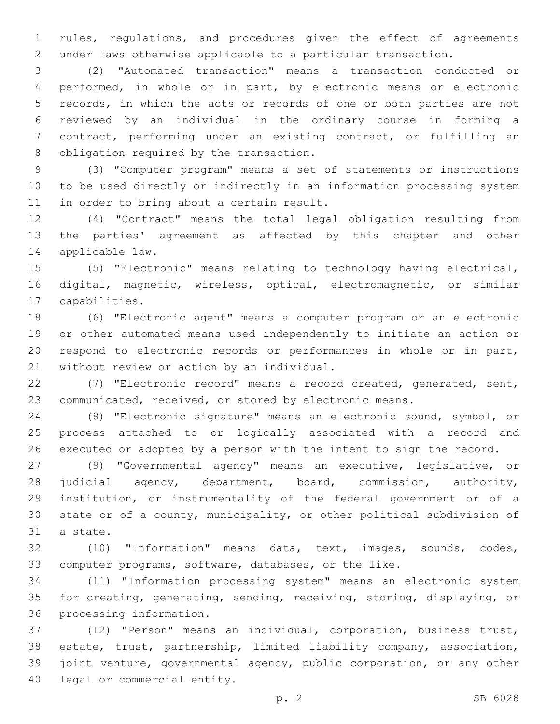rules, regulations, and procedures given the effect of agreements under laws otherwise applicable to a particular transaction.

 (2) "Automated transaction" means a transaction conducted or performed, in whole or in part, by electronic means or electronic records, in which the acts or records of one or both parties are not reviewed by an individual in the ordinary course in forming a contract, performing under an existing contract, or fulfilling an 8 obligation required by the transaction.

 (3) "Computer program" means a set of statements or instructions to be used directly or indirectly in an information processing system 11 in order to bring about a certain result.

 (4) "Contract" means the total legal obligation resulting from the parties' agreement as affected by this chapter and other 14 applicable law.

 (5) "Electronic" means relating to technology having electrical, digital, magnetic, wireless, optical, electromagnetic, or similar 17 capabilities.

 (6) "Electronic agent" means a computer program or an electronic or other automated means used independently to initiate an action or respond to electronic records or performances in whole or in part, 21 without review or action by an individual.

 (7) "Electronic record" means a record created, generated, sent, communicated, received, or stored by electronic means.

 (8) "Electronic signature" means an electronic sound, symbol, or process attached to or logically associated with a record and executed or adopted by a person with the intent to sign the record.

 (9) "Governmental agency" means an executive, legislative, or judicial agency, department, board, commission, authority, institution, or instrumentality of the federal government or of a state or of a county, municipality, or other political subdivision of 31 a state.

 (10) "Information" means data, text, images, sounds, codes, computer programs, software, databases, or the like.

 (11) "Information processing system" means an electronic system for creating, generating, sending, receiving, storing, displaying, or 36 processing information.

 (12) "Person" means an individual, corporation, business trust, estate, trust, partnership, limited liability company, association, joint venture, governmental agency, public corporation, or any other 40 legal or commercial entity.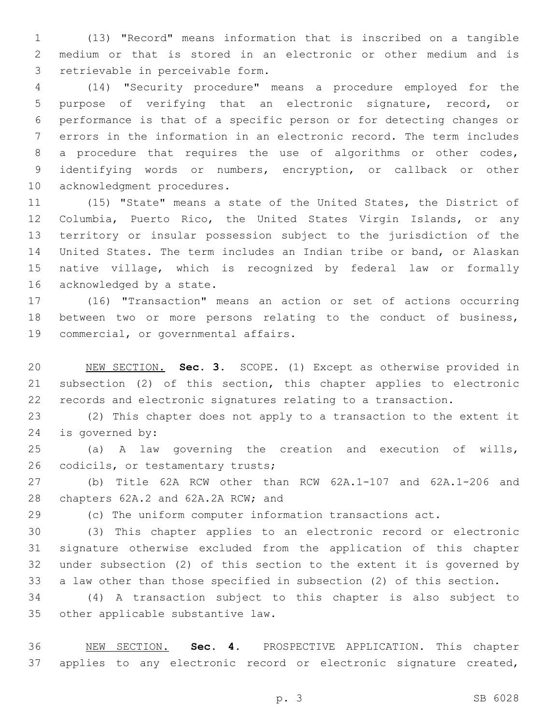(13) "Record" means information that is inscribed on a tangible medium or that is stored in an electronic or other medium and is 3 retrievable in perceivable form.

 (14) "Security procedure" means a procedure employed for the purpose of verifying that an electronic signature, record, or performance is that of a specific person or for detecting changes or errors in the information in an electronic record. The term includes a procedure that requires the use of algorithms or other codes, identifying words or numbers, encryption, or callback or other 10 acknowledgment procedures.

 (15) "State" means a state of the United States, the District of Columbia, Puerto Rico, the United States Virgin Islands, or any territory or insular possession subject to the jurisdiction of the United States. The term includes an Indian tribe or band, or Alaskan native village, which is recognized by federal law or formally 16 acknowledged by a state.

 (16) "Transaction" means an action or set of actions occurring between two or more persons relating to the conduct of business, 19 commercial, or governmental affairs.

 NEW SECTION. **Sec. 3.** SCOPE. (1) Except as otherwise provided in subsection (2) of this section, this chapter applies to electronic records and electronic signatures relating to a transaction.

 (2) This chapter does not apply to a transaction to the extent it 24 is governed by:

 (a) A law governing the creation and execution of wills, 26 codicils, or testamentary trusts;

 (b) Title 62A RCW other than RCW 62A.1-107 and 62A.1-206 and 28 chapters 62A.2 and 62A.2A RCW; and

(c) The uniform computer information transactions act.

 (3) This chapter applies to an electronic record or electronic signature otherwise excluded from the application of this chapter under subsection (2) of this section to the extent it is governed by a law other than those specified in subsection (2) of this section.

 (4) A transaction subject to this chapter is also subject to 35 other applicable substantive law.

 NEW SECTION. **Sec. 4.** PROSPECTIVE APPLICATION. This chapter applies to any electronic record or electronic signature created,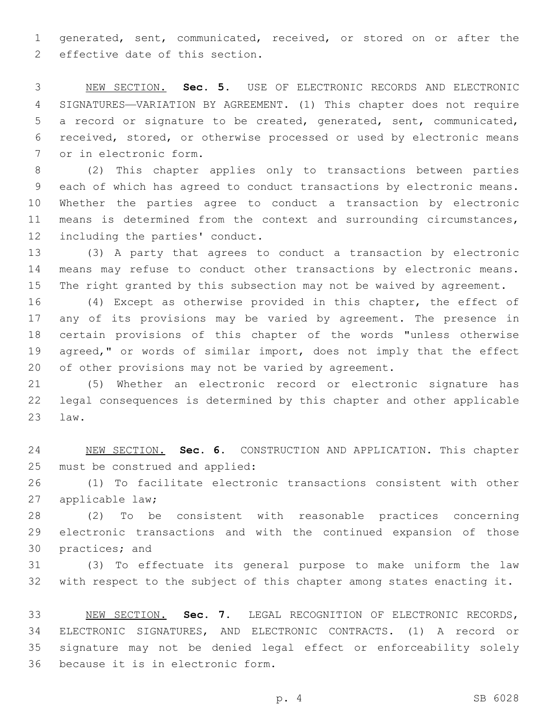generated, sent, communicated, received, or stored on or after the 2 effective date of this section.

 NEW SECTION. **Sec. 5.** USE OF ELECTRONIC RECORDS AND ELECTRONIC SIGNATURES—VARIATION BY AGREEMENT. (1) This chapter does not require a record or signature to be created, generated, sent, communicated, received, stored, or otherwise processed or used by electronic means or in electronic form.

 (2) This chapter applies only to transactions between parties each of which has agreed to conduct transactions by electronic means. Whether the parties agree to conduct a transaction by electronic means is determined from the context and surrounding circumstances, 12 including the parties' conduct.

 (3) A party that agrees to conduct a transaction by electronic means may refuse to conduct other transactions by electronic means. The right granted by this subsection may not be waived by agreement.

 (4) Except as otherwise provided in this chapter, the effect of any of its provisions may be varied by agreement. The presence in certain provisions of this chapter of the words "unless otherwise agreed," or words of similar import, does not imply that the effect of other provisions may not be varied by agreement.

 (5) Whether an electronic record or electronic signature has legal consequences is determined by this chapter and other applicable law.23

 NEW SECTION. **Sec. 6.** CONSTRUCTION AND APPLICATION. This chapter must be construed and applied:

 (1) To facilitate electronic transactions consistent with other 27 applicable law;

 (2) To be consistent with reasonable practices concerning electronic transactions and with the continued expansion of those 30 practices; and

 (3) To effectuate its general purpose to make uniform the law with respect to the subject of this chapter among states enacting it.

 NEW SECTION. **Sec. 7.** LEGAL RECOGNITION OF ELECTRONIC RECORDS, ELECTRONIC SIGNATURES, AND ELECTRONIC CONTRACTS. (1) A record or signature may not be denied legal effect or enforceability solely because it is in electronic form.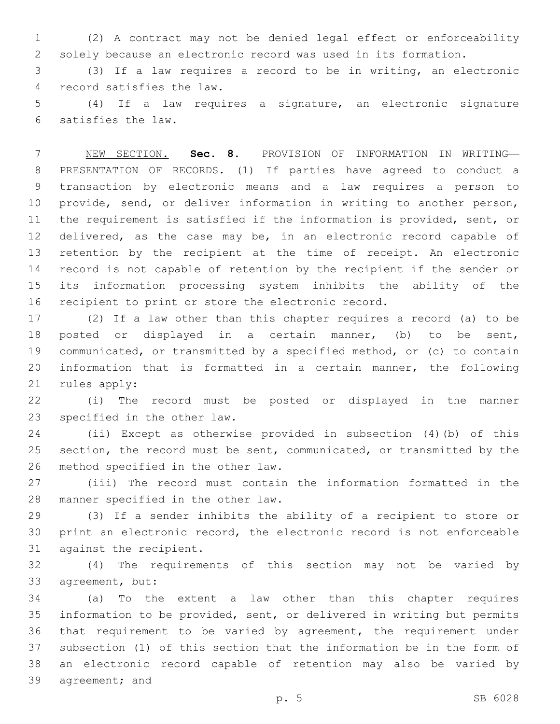(2) A contract may not be denied legal effect or enforceability solely because an electronic record was used in its formation.

 (3) If a law requires a record to be in writing, an electronic 4 record satisfies the law.

 (4) If a law requires a signature, an electronic signature 6 satisfies the law.

 NEW SECTION. **Sec. 8.** PROVISION OF INFORMATION IN WRITING— PRESENTATION OF RECORDS. (1) If parties have agreed to conduct a transaction by electronic means and a law requires a person to provide, send, or deliver information in writing to another person, the requirement is satisfied if the information is provided, sent, or delivered, as the case may be, in an electronic record capable of retention by the recipient at the time of receipt. An electronic record is not capable of retention by the recipient if the sender or its information processing system inhibits the ability of the recipient to print or store the electronic record.

 (2) If a law other than this chapter requires a record (a) to be posted or displayed in a certain manner, (b) to be sent, communicated, or transmitted by a specified method, or (c) to contain information that is formatted in a certain manner, the following 21 rules apply:

 (i) The record must be posted or displayed in the manner 23 specified in the other law.

 (ii) Except as otherwise provided in subsection (4)(b) of this section, the record must be sent, communicated, or transmitted by the 26 method specified in the other law.

 (iii) The record must contain the information formatted in the 28 manner specified in the other law.

 (3) If a sender inhibits the ability of a recipient to store or print an electronic record, the electronic record is not enforceable 31 against the recipient.

 (4) The requirements of this section may not be varied by 33 agreement, but:

 (a) To the extent a law other than this chapter requires information to be provided, sent, or delivered in writing but permits that requirement to be varied by agreement, the requirement under subsection (1) of this section that the information be in the form of an electronic record capable of retention may also be varied by 39 agreement; and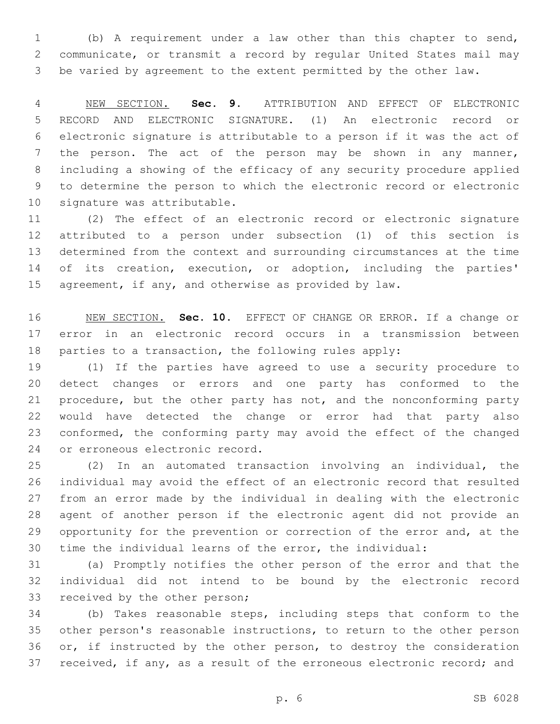(b) A requirement under a law other than this chapter to send, communicate, or transmit a record by regular United States mail may be varied by agreement to the extent permitted by the other law.

 NEW SECTION. **Sec. 9.** ATTRIBUTION AND EFFECT OF ELECTRONIC RECORD AND ELECTRONIC SIGNATURE. (1) An electronic record or electronic signature is attributable to a person if it was the act of 7 the person. The act of the person may be shown in any manner, including a showing of the efficacy of any security procedure applied to determine the person to which the electronic record or electronic signature was attributable.

 (2) The effect of an electronic record or electronic signature attributed to a person under subsection (1) of this section is determined from the context and surrounding circumstances at the time 14 of its creation, execution, or adoption, including the parties' 15 agreement, if any, and otherwise as provided by law.

 NEW SECTION. **Sec. 10.** EFFECT OF CHANGE OR ERROR. If a change or error in an electronic record occurs in a transmission between parties to a transaction, the following rules apply:

 (1) If the parties have agreed to use a security procedure to detect changes or errors and one party has conformed to the procedure, but the other party has not, and the nonconforming party would have detected the change or error had that party also conformed, the conforming party may avoid the effect of the changed 24 or erroneous electronic record.

 (2) In an automated transaction involving an individual, the individual may avoid the effect of an electronic record that resulted from an error made by the individual in dealing with the electronic agent of another person if the electronic agent did not provide an opportunity for the prevention or correction of the error and, at the time the individual learns of the error, the individual:

 (a) Promptly notifies the other person of the error and that the individual did not intend to be bound by the electronic record 33 received by the other person;

 (b) Takes reasonable steps, including steps that conform to the other person's reasonable instructions, to return to the other person 36 or, if instructed by the other person, to destroy the consideration received, if any, as a result of the erroneous electronic record; and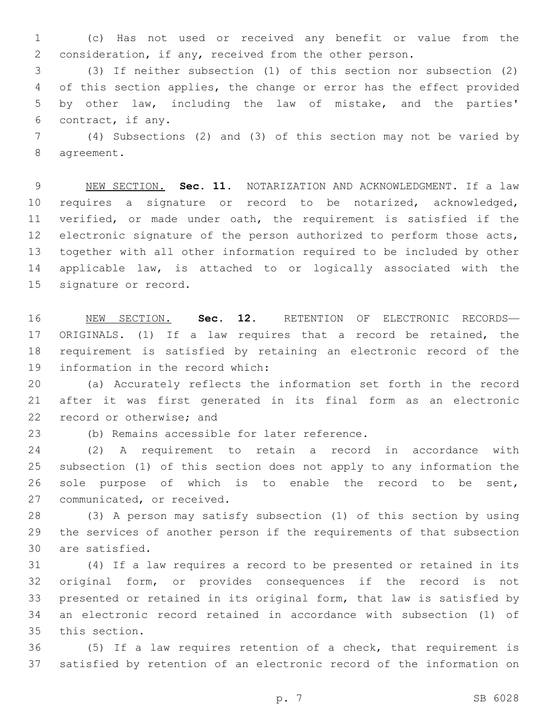(c) Has not used or received any benefit or value from the consideration, if any, received from the other person.

 (3) If neither subsection (1) of this section nor subsection (2) of this section applies, the change or error has the effect provided by other law, including the law of mistake, and the parties' 6 contract, if any.

 (4) Subsections (2) and (3) of this section may not be varied by 8 agreement.

 NEW SECTION. **Sec. 11.** NOTARIZATION AND ACKNOWLEDGMENT. If a law requires a signature or record to be notarized, acknowledged, verified, or made under oath, the requirement is satisfied if the electronic signature of the person authorized to perform those acts, together with all other information required to be included by other applicable law, is attached to or logically associated with the signature or record.

 NEW SECTION. **Sec. 12.** RETENTION OF ELECTRONIC RECORDS— ORIGINALS. (1) If a law requires that a record be retained, the requirement is satisfied by retaining an electronic record of the information in the record which:

 (a) Accurately reflects the information set forth in the record after it was first generated in its final form as an electronic 22 record or otherwise; and

23 (b) Remains accessible for later reference.

 (2) A requirement to retain a record in accordance with subsection (1) of this section does not apply to any information the sole purpose of which is to enable the record to be sent, 27 communicated, or received.

 (3) A person may satisfy subsection (1) of this section by using the services of another person if the requirements of that subsection 30 are satisfied.

 (4) If a law requires a record to be presented or retained in its original form, or provides consequences if the record is not presented or retained in its original form, that law is satisfied by an electronic record retained in accordance with subsection (1) of 35 this section.

 (5) If a law requires retention of a check, that requirement is satisfied by retention of an electronic record of the information on

p. 7 SB 6028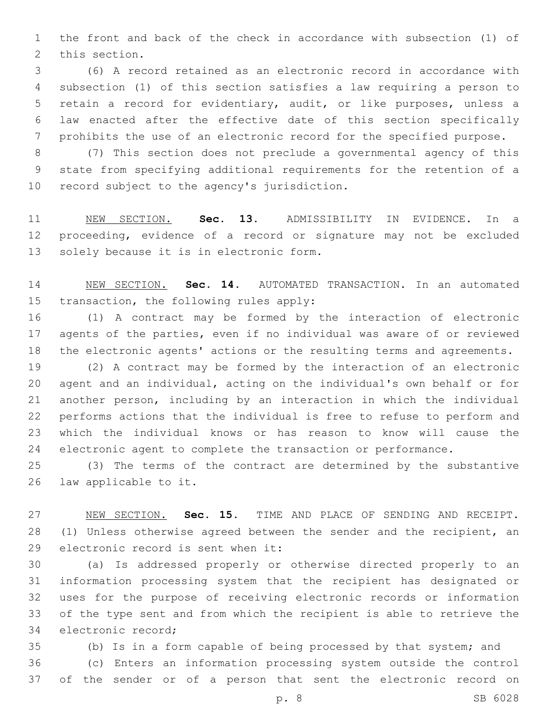the front and back of the check in accordance with subsection (1) of 2 this section.

 (6) A record retained as an electronic record in accordance with subsection (1) of this section satisfies a law requiring a person to retain a record for evidentiary, audit, or like purposes, unless a law enacted after the effective date of this section specifically prohibits the use of an electronic record for the specified purpose.

 (7) This section does not preclude a governmental agency of this state from specifying additional requirements for the retention of a 10 record subject to the agency's jurisdiction.

 NEW SECTION. **Sec. 13.** ADMISSIBILITY IN EVIDENCE. In a proceeding, evidence of a record or signature may not be excluded solely because it is in electronic form.

 NEW SECTION. **Sec. 14.** AUTOMATED TRANSACTION. In an automated transaction, the following rules apply:

 (1) A contract may be formed by the interaction of electronic agents of the parties, even if no individual was aware of or reviewed the electronic agents' actions or the resulting terms and agreements.

 (2) A contract may be formed by the interaction of an electronic agent and an individual, acting on the individual's own behalf or for another person, including by an interaction in which the individual performs actions that the individual is free to refuse to perform and which the individual knows or has reason to know will cause the electronic agent to complete the transaction or performance.

 (3) The terms of the contract are determined by the substantive 26 law applicable to it.

 NEW SECTION. **Sec. 15.** TIME AND PLACE OF SENDING AND RECEIPT. (1) Unless otherwise agreed between the sender and the recipient, an electronic record is sent when it:

 (a) Is addressed properly or otherwise directed properly to an information processing system that the recipient has designated or uses for the purpose of receiving electronic records or information of the type sent and from which the recipient is able to retrieve the 34 electronic record;

(b) Is in a form capable of being processed by that system; and

 (c) Enters an information processing system outside the control of the sender or of a person that sent the electronic record on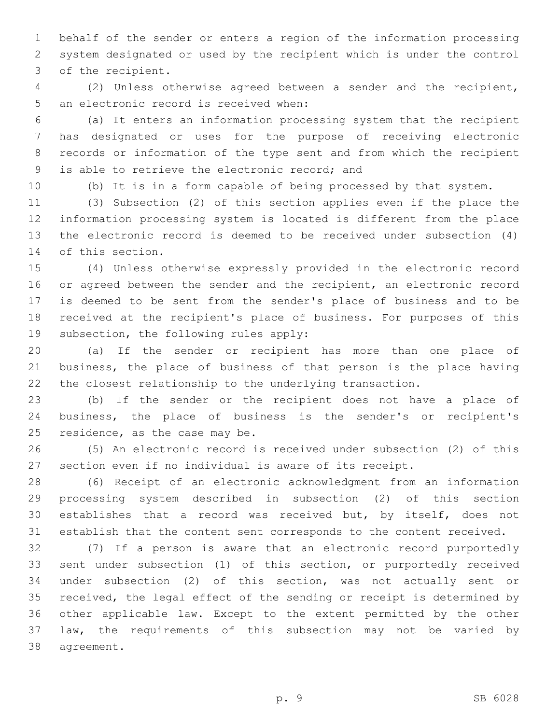behalf of the sender or enters a region of the information processing system designated or used by the recipient which is under the control 3 of the recipient.

 (2) Unless otherwise agreed between a sender and the recipient, 5 an electronic record is received when:

 (a) It enters an information processing system that the recipient has designated or uses for the purpose of receiving electronic records or information of the type sent and from which the recipient 9 is able to retrieve the electronic record; and

(b) It is in a form capable of being processed by that system.

 (3) Subsection (2) of this section applies even if the place the information processing system is located is different from the place the electronic record is deemed to be received under subsection (4) 14 of this section.

 (4) Unless otherwise expressly provided in the electronic record 16 or agreed between the sender and the recipient, an electronic record is deemed to be sent from the sender's place of business and to be received at the recipient's place of business. For purposes of this 19 subsection, the following rules apply:

 (a) If the sender or recipient has more than one place of business, the place of business of that person is the place having the closest relationship to the underlying transaction.

 (b) If the sender or the recipient does not have a place of business, the place of business is the sender's or recipient's 25 residence, as the case may be.

 (5) An electronic record is received under subsection (2) of this section even if no individual is aware of its receipt.

 (6) Receipt of an electronic acknowledgment from an information processing system described in subsection (2) of this section establishes that a record was received but, by itself, does not establish that the content sent corresponds to the content received.

 (7) If a person is aware that an electronic record purportedly sent under subsection (1) of this section, or purportedly received under subsection (2) of this section, was not actually sent or received, the legal effect of the sending or receipt is determined by other applicable law. Except to the extent permitted by the other law, the requirements of this subsection may not be varied by 38 agreement.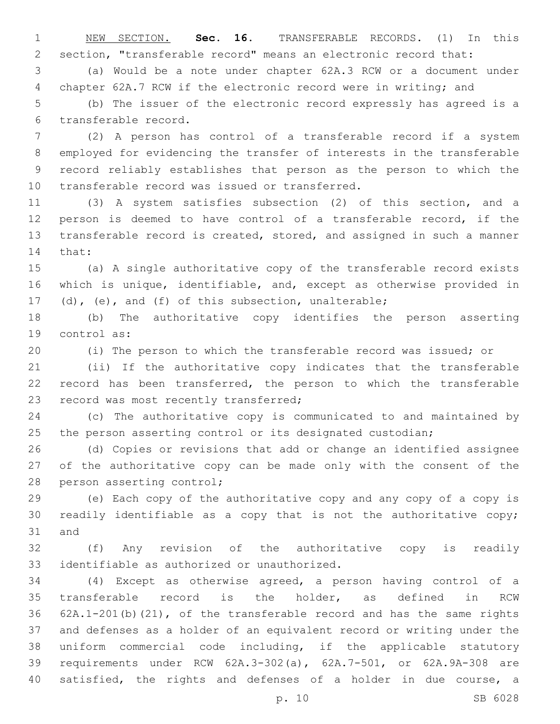NEW SECTION. **Sec. 16.** TRANSFERABLE RECORDS. (1) In this section, "transferable record" means an electronic record that:

 (a) Would be a note under chapter 62A.3 RCW or a document under chapter 62A.7 RCW if the electronic record were in writing; and

 (b) The issuer of the electronic record expressly has agreed is a transferable record.6

 (2) A person has control of a transferable record if a system employed for evidencing the transfer of interests in the transferable record reliably establishes that person as the person to which the 10 transferable record was issued or transferred.

 (3) A system satisfies subsection (2) of this section, and a person is deemed to have control of a transferable record, if the transferable record is created, stored, and assigned in such a manner 14 that:

 (a) A single authoritative copy of the transferable record exists which is unique, identifiable, and, except as otherwise provided in (d), (e), and (f) of this subsection, unalterable;

 (b) The authoritative copy identifies the person asserting 19 control as:

(i) The person to which the transferable record was issued; or

 (ii) If the authoritative copy indicates that the transferable record has been transferred, the person to which the transferable 23 record was most recently transferred;

 (c) The authoritative copy is communicated to and maintained by 25 the person asserting control or its designated custodian;

 (d) Copies or revisions that add or change an identified assignee of the authoritative copy can be made only with the consent of the 28 person asserting control;

 (e) Each copy of the authoritative copy and any copy of a copy is readily identifiable as a copy that is not the authoritative copy; 31 and

 (f) Any revision of the authoritative copy is readily 33 identifiable as authorized or unauthorized.

 (4) Except as otherwise agreed, a person having control of a transferable record is the holder, as defined in RCW 62A.1-201(b)(21), of the transferable record and has the same rights and defenses as a holder of an equivalent record or writing under the uniform commercial code including, if the applicable statutory requirements under RCW 62A.3-302(a), 62A.7-501, or 62A.9A-308 are satisfied, the rights and defenses of a holder in due course, a

p. 10 SB 6028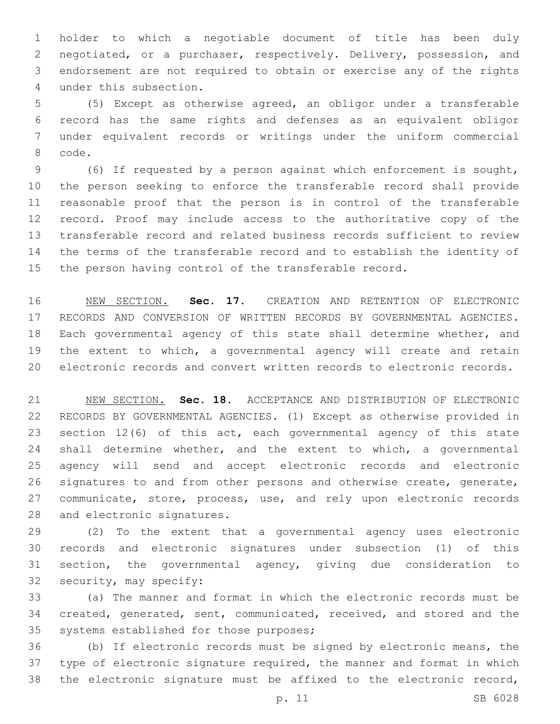holder to which a negotiable document of title has been duly negotiated, or a purchaser, respectively. Delivery, possession, and endorsement are not required to obtain or exercise any of the rights under this subsection.4

 (5) Except as otherwise agreed, an obligor under a transferable record has the same rights and defenses as an equivalent obligor under equivalent records or writings under the uniform commercial 8 code.

 (6) If requested by a person against which enforcement is sought, the person seeking to enforce the transferable record shall provide reasonable proof that the person is in control of the transferable record. Proof may include access to the authoritative copy of the transferable record and related business records sufficient to review the terms of the transferable record and to establish the identity of the person having control of the transferable record.

 NEW SECTION. **Sec. 17.** CREATION AND RETENTION OF ELECTRONIC RECORDS AND CONVERSION OF WRITTEN RECORDS BY GOVERNMENTAL AGENCIES. Each governmental agency of this state shall determine whether, and the extent to which, a governmental agency will create and retain electronic records and convert written records to electronic records.

 NEW SECTION. **Sec. 18.** ACCEPTANCE AND DISTRIBUTION OF ELECTRONIC RECORDS BY GOVERNMENTAL AGENCIES. (1) Except as otherwise provided in 23 section 12(6) of this act, each governmental agency of this state shall determine whether, and the extent to which, a governmental agency will send and accept electronic records and electronic 26 signatures to and from other persons and otherwise create, generate, 27 communicate, store, process, use, and rely upon electronic records and electronic signatures.

 (2) To the extent that a governmental agency uses electronic records and electronic signatures under subsection (1) of this section, the governmental agency, giving due consideration to 32 security, may specify:

 (a) The manner and format in which the electronic records must be created, generated, sent, communicated, received, and stored and the 35 systems established for those purposes;

 (b) If electronic records must be signed by electronic means, the type of electronic signature required, the manner and format in which the electronic signature must be affixed to the electronic record,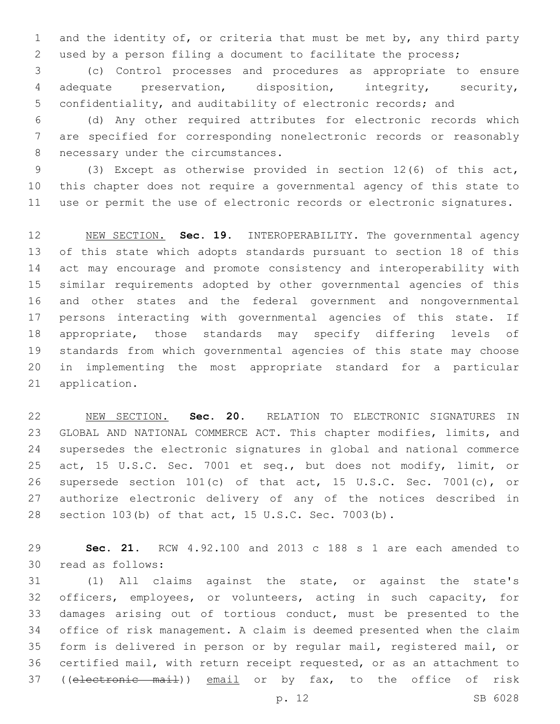1 and the identity of, or criteria that must be met by, any third party used by a person filing a document to facilitate the process;

 (c) Control processes and procedures as appropriate to ensure adequate preservation, disposition, integrity, security, confidentiality, and auditability of electronic records; and

 (d) Any other required attributes for electronic records which are specified for corresponding nonelectronic records or reasonably 8 necessary under the circumstances.

 (3) Except as otherwise provided in section 12(6) of this act, this chapter does not require a governmental agency of this state to use or permit the use of electronic records or electronic signatures.

 NEW SECTION. **Sec. 19.** INTEROPERABILITY. The governmental agency of this state which adopts standards pursuant to section 18 of this act may encourage and promote consistency and interoperability with similar requirements adopted by other governmental agencies of this and other states and the federal government and nongovernmental persons interacting with governmental agencies of this state. If appropriate, those standards may specify differing levels of standards from which governmental agencies of this state may choose in implementing the most appropriate standard for a particular application.

 NEW SECTION. **Sec. 20.** RELATION TO ELECTRONIC SIGNATURES IN GLOBAL AND NATIONAL COMMERCE ACT. This chapter modifies, limits, and supersedes the electronic signatures in global and national commerce act, 15 U.S.C. Sec. 7001 et seq., but does not modify, limit, or supersede section 101(c) of that act, 15 U.S.C. Sec. 7001(c), or authorize electronic delivery of any of the notices described in section 103(b) of that act, 15 U.S.C. Sec. 7003(b).

 **Sec. 21.** RCW 4.92.100 and 2013 c 188 s 1 are each amended to read as follows:30

 (1) All claims against the state, or against the state's officers, employees, or volunteers, acting in such capacity, for damages arising out of tortious conduct, must be presented to the office of risk management. A claim is deemed presented when the claim form is delivered in person or by regular mail, registered mail, or certified mail, with return receipt requested, or as an attachment to 37 ((electronic mail)) email or by fax, to the office of risk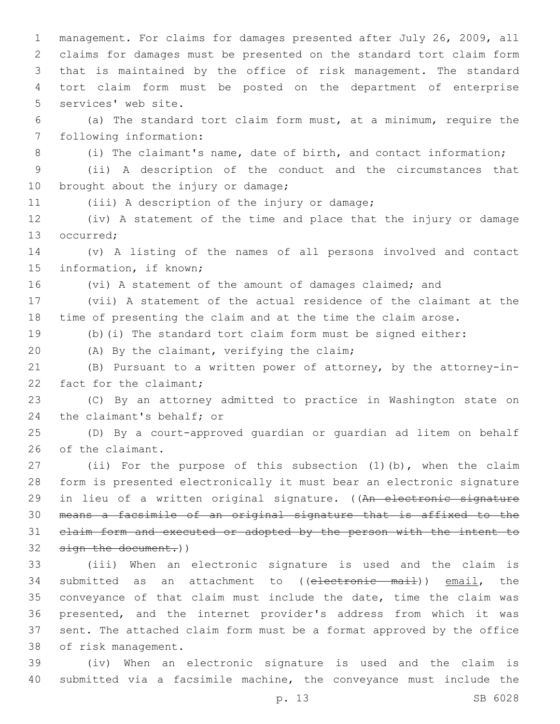management. For claims for damages presented after July 26, 2009, all claims for damages must be presented on the standard tort claim form that is maintained by the office of risk management. The standard tort claim form must be posted on the department of enterprise 5 services' web site. (a) The standard tort claim form must, at a minimum, require the 7 following information: (i) The claimant's name, date of birth, and contact information; (ii) A description of the conduct and the circumstances that 10 brought about the injury or damage; 11 (iii) A description of the injury or damage; (iv) A statement of the time and place that the injury or damage 13 occurred; (v) A listing of the names of all persons involved and contact 15 information, if known; (vi) A statement of the amount of damages claimed; and (vii) A statement of the actual residence of the claimant at the time of presenting the claim and at the time the claim arose.

(b)(i) The standard tort claim form must be signed either:

(A) By the claimant, verifying the claim;20

 (B) Pursuant to a written power of attorney, by the attorney-in-22 fact for the claimant;

 (C) By an attorney admitted to practice in Washington state on 24 the claimant's behalf; or

 (D) By a court-approved guardian or guardian ad litem on behalf 26 of the claimant.

 (ii) For the purpose of this subsection (1)(b), when the claim form is presented electronically it must bear an electronic signature 29 in lieu of a written original signature. ((An electronic signature means a facsimile of an original signature that is affixed to the claim form and executed or adopted by the person with the intent to sign the document.))

 (iii) When an electronic signature is used and the claim is 34 submitted as an attachment to ((electronic mail)) email, the conveyance of that claim must include the date, time the claim was presented, and the internet provider's address from which it was sent. The attached claim form must be a format approved by the office 38 of risk management.

 (iv) When an electronic signature is used and the claim is submitted via a facsimile machine, the conveyance must include the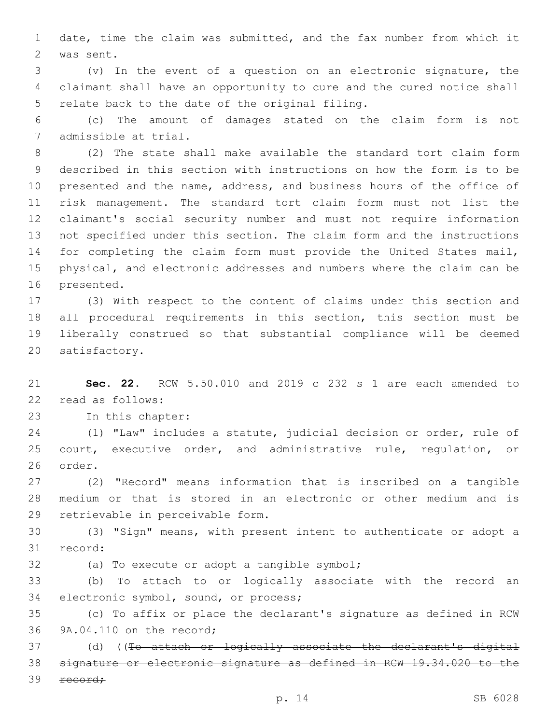1 date, time the claim was submitted, and the fax number from which it 2 was sent.

3 (v) In the event of a question on an electronic signature, the 4 claimant shall have an opportunity to cure and the cured notice shall 5 relate back to the date of the original filing.

6 (c) The amount of damages stated on the claim form is not 7 admissible at trial.

 (2) The state shall make available the standard tort claim form described in this section with instructions on how the form is to be presented and the name, address, and business hours of the office of risk management. The standard tort claim form must not list the claimant's social security number and must not require information not specified under this section. The claim form and the instructions for completing the claim form must provide the United States mail, physical, and electronic addresses and numbers where the claim can be 16 presented.

 (3) With respect to the content of claims under this section and all procedural requirements in this section, this section must be liberally construed so that substantial compliance will be deemed 20 satisfactory.

21 **Sec. 22.** RCW 5.50.010 and 2019 c 232 s 1 are each amended to 22 read as follows:

23 In this chapter:

24 (1) "Law" includes a statute, judicial decision or order, rule of 25 court, executive order, and administrative rule, regulation, or 26 order.

27 (2) "Record" means information that is inscribed on a tangible 28 medium or that is stored in an electronic or other medium and is 29 retrievable in perceivable form.

30 (3) "Sign" means, with present intent to authenticate or adopt a 31 record:

32 (a) To execute or adopt a tangible symbol;

33 (b) To attach to or logically associate with the record an 34 electronic symbol, sound, or process;

35 (c) To affix or place the declarant's signature as defined in RCW 36 9A.04.110 on the record;

37 (d) ((To attach or logically associate the declarant's digital 38 signature or electronic signature as defined in RCW 19.34.020 to the 39 record;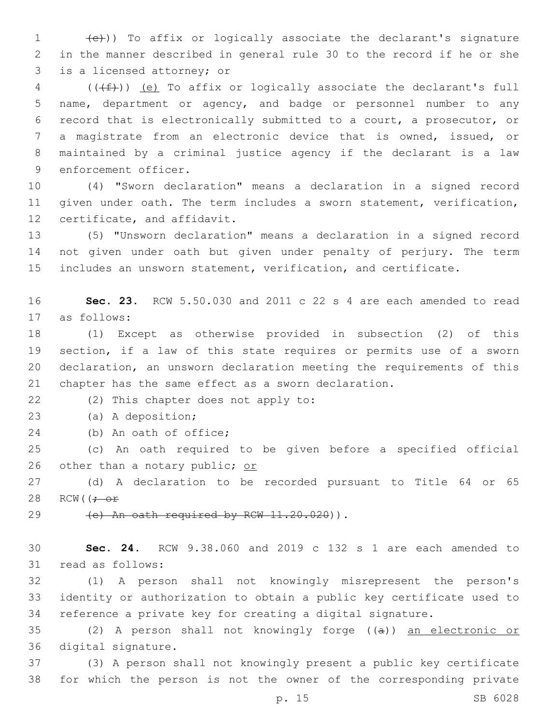$(1 + e)$ ) To affix or logically associate the declarant's signature in the manner described in general rule 30 to the record if he or she 3 is a licensed attorney; or

 (( $(f)$ )) (e) To affix or logically associate the declarant's full name, department or agency, and badge or personnel number to any record that is electronically submitted to a court, a prosecutor, or a magistrate from an electronic device that is owned, issued, or maintained by a criminal justice agency if the declarant is a law 9 enforcement officer.

 (4) "Sworn declaration" means a declaration in a signed record given under oath. The term includes a sworn statement, verification, 12 certificate, and affidavit.

 (5) "Unsworn declaration" means a declaration in a signed record not given under oath but given under penalty of perjury. The term includes an unsworn statement, verification, and certificate.

 **Sec. 23.** RCW 5.50.030 and 2011 c 22 s 4 are each amended to read as follows:17

 (1) Except as otherwise provided in subsection (2) of this section, if a law of this state requires or permits use of a sworn declaration, an unsworn declaration meeting the requirements of this chapter has the same effect as a sworn declaration.

22 (2) This chapter does not apply to:

(a) A deposition;23

24 (b) An oath of office;

 (c) An oath required to be given before a specified official 26 other than a notary public; or

 (d) A declaration to be recorded pursuant to Title 64 or 65 28 RCW( $\left(\frac{1}{\epsilon_0}\right)$ 

29 (e) An oath required by RCW 11.20.020)).

 **Sec. 24.** RCW 9.38.060 and 2019 c 132 s 1 are each amended to 31 read as follows:

 (1) A person shall not knowingly misrepresent the person's identity or authorization to obtain a public key certificate used to reference a private key for creating a digital signature.

 (2) A person shall not knowingly forge ((a)) an electronic or 36 digital signature.

 (3) A person shall not knowingly present a public key certificate for which the person is not the owner of the corresponding private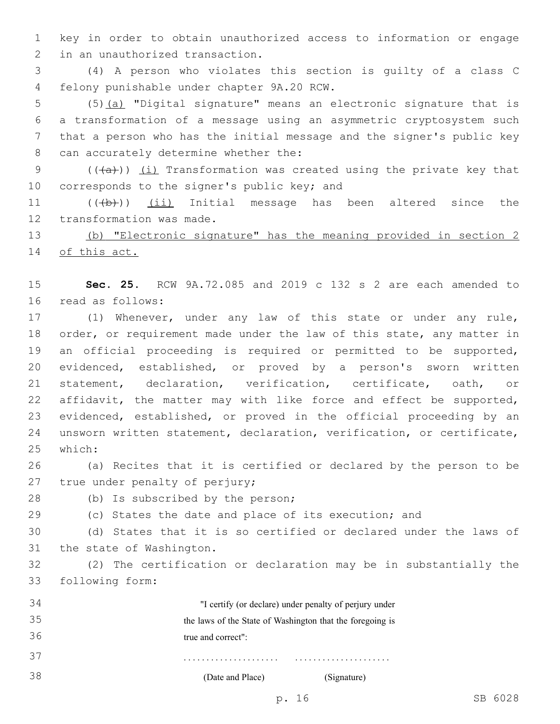1 key in order to obtain unauthorized access to information or engage 2 in an unauthorized transaction.

3 (4) A person who violates this section is guilty of a class C 4 felony punishable under chapter 9A.20 RCW.

 (5)(a) "Digital signature" means an electronic signature that is a transformation of a message using an asymmetric cryptosystem such that a person who has the initial message and the signer's public key 8 can accurately determine whether the:

9  $((+a))$  (i) Transformation was created using the private key that 10 corresponds to the signer's public key; and

11 (((b))) (ii) Initial message has been altered since the 12 transformation was made.

13 (b) "Electronic signature" has the meaning provided in section 2 14 of this act.

15 **Sec. 25.** RCW 9A.72.085 and 2019 c 132 s 2 are each amended to 16 read as follows:

 (1) Whenever, under any law of this state or under any rule, 18 order, or requirement made under the law of this state, any matter in an official proceeding is required or permitted to be supported, evidenced, established, or proved by a person's sworn written statement, declaration, verification, certificate, oath, or 22 affidavit, the matter may with like force and effect be supported, evidenced, established, or proved in the official proceeding by an unsworn written statement, declaration, verification, or certificate, 25 which:

26 (a) Recites that it is certified or declared by the person to be 27 true under penalty of perjury;

28 (b) Is subscribed by the person;

29 (c) States the date and place of its execution; and

30 (d) States that it is so certified or declared under the laws of 31 the state of Washington.

32 (2) The certification or declaration may be in substantially the following form:33

| 34  | "I certify (or declare) under penalty of perjury under    |
|-----|-----------------------------------------------------------|
| 35  | the laws of the State of Washington that the foregoing is |
| 36  | true and correct":                                        |
| 37  | .                                                         |
| -38 | (Date and Place)<br>(Signature)                           |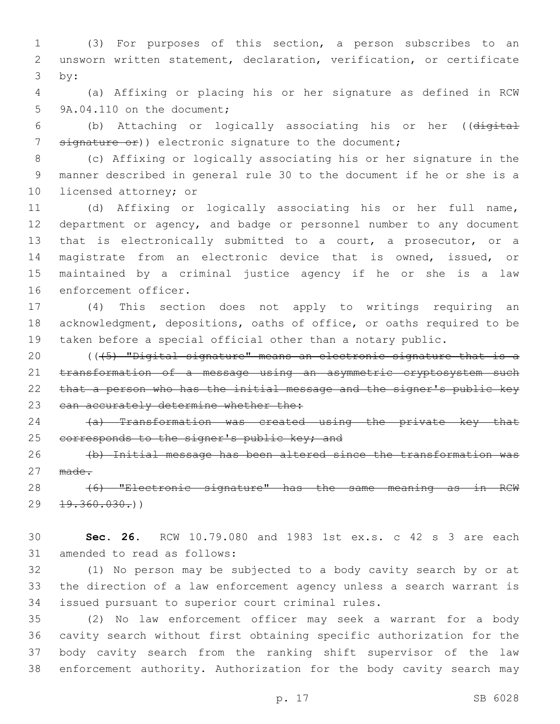(3) For purposes of this section, a person subscribes to an unsworn written statement, declaration, verification, or certificate 3 by:

 (a) Affixing or placing his or her signature as defined in RCW 5 9A.04.110 on the document;

 (b) Attaching or logically associating his or her ((digital signature or)) electronic signature to the document;

 (c) Affixing or logically associating his or her signature in the manner described in general rule 30 to the document if he or she is a 10 licensed attorney; or

 (d) Affixing or logically associating his or her full name, department or agency, and badge or personnel number to any document that is electronically submitted to a court, a prosecutor, or a magistrate from an electronic device that is owned, issued, or maintained by a criminal justice agency if he or she is a law 16 enforcement officer.

 (4) This section does not apply to writings requiring an acknowledgment, depositions, oaths of office, or oaths required to be taken before a special official other than a notary public.

 (((5) "Digital signature" means an electronic signature that is a 21 transformation of a message using an asymmetric cryptosystem such that a person who has the initial message and the signer's public key 23 can accurately determine whether the:

 (a) Transformation was created using the private key that 25 corresponds to the signer's public key; and

 (b) Initial message has been altered since the transformation was made.

 (6) "Electronic signature" has the same meaning as in RCW  $29 \quad 19.360.030.)$ 

 **Sec. 26.** RCW 10.79.080 and 1983 1st ex.s. c 42 s 3 are each 31 amended to read as follows:

 (1) No person may be subjected to a body cavity search by or at the direction of a law enforcement agency unless a search warrant is 34 issued pursuant to superior court criminal rules.

 (2) No law enforcement officer may seek a warrant for a body cavity search without first obtaining specific authorization for the body cavity search from the ranking shift supervisor of the law enforcement authority. Authorization for the body cavity search may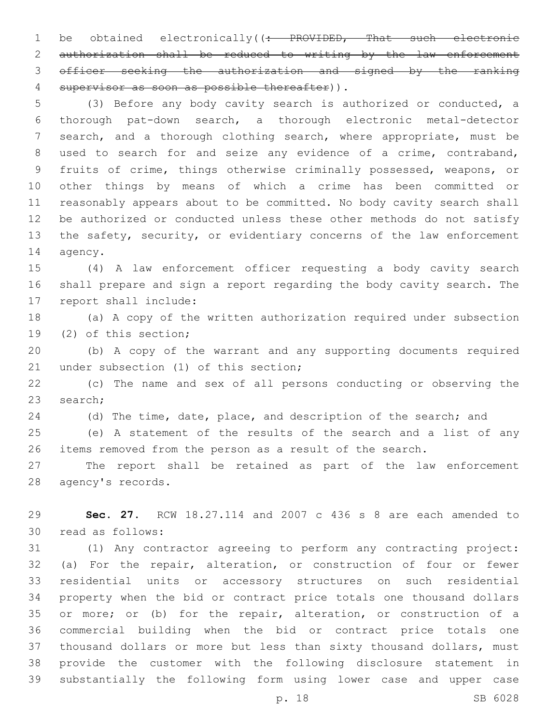1 be obtained electronically((: PROVIDED, That such electronic authorization shall be reduced to writing by the law enforcement officer seeking the authorization and signed by the ranking 4 supervisor as soon as possible thereafter)).

 (3) Before any body cavity search is authorized or conducted, a thorough pat-down search, a thorough electronic metal-detector search, and a thorough clothing search, where appropriate, must be used to search for and seize any evidence of a crime, contraband, fruits of crime, things otherwise criminally possessed, weapons, or other things by means of which a crime has been committed or reasonably appears about to be committed. No body cavity search shall be authorized or conducted unless these other methods do not satisfy the safety, security, or evidentiary concerns of the law enforcement 14 agency.

 (4) A law enforcement officer requesting a body cavity search shall prepare and sign a report regarding the body cavity search. The 17 report shall include:

 (a) A copy of the written authorization required under subsection 19 (2) of this section;

 (b) A copy of the warrant and any supporting documents required 21 under subsection (1) of this section;

 (c) The name and sex of all persons conducting or observing the 23 search;

(d) The time, date, place, and description of the search; and

 (e) A statement of the results of the search and a list of any items removed from the person as a result of the search.

 The report shall be retained as part of the law enforcement 28 agency's records.

 **Sec. 27.** RCW 18.27.114 and 2007 c 436 s 8 are each amended to 30 read as follows:

 (1) Any contractor agreeing to perform any contracting project: (a) For the repair, alteration, or construction of four or fewer residential units or accessory structures on such residential property when the bid or contract price totals one thousand dollars or more; or (b) for the repair, alteration, or construction of a commercial building when the bid or contract price totals one thousand dollars or more but less than sixty thousand dollars, must provide the customer with the following disclosure statement in substantially the following form using lower case and upper case

p. 18 SB 6028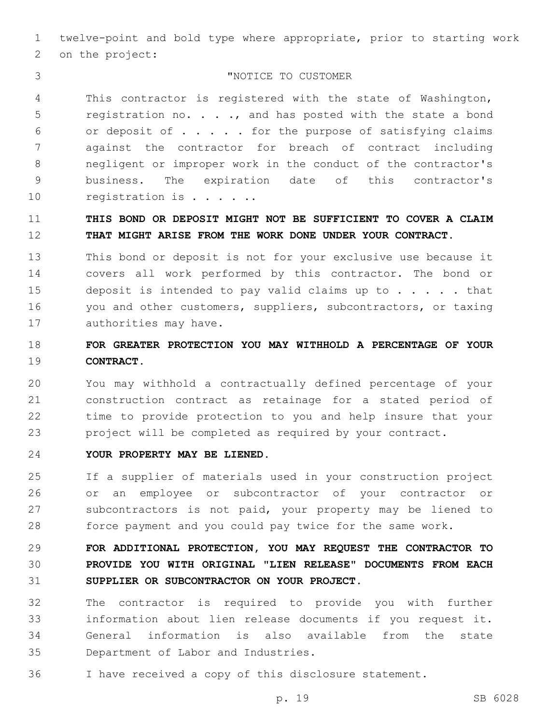twelve-point and bold type where appropriate, prior to starting work 2 on the project:

## 3 STRINGER TO CUSTOMER TO CUSTOMER

 This contractor is registered with the state of Washington, registration no. . . ., and has posted with the state a bond or deposit of . . . . . for the purpose of satisfying claims against the contractor for breach of contract including negligent or improper work in the conduct of the contractor's business. The expiration date of this contractor's 10 registration is . . . . . .

## **THIS BOND OR DEPOSIT MIGHT NOT BE SUFFICIENT TO COVER A CLAIM THAT MIGHT ARISE FROM THE WORK DONE UNDER YOUR CONTRACT.**

- This bond or deposit is not for your exclusive use because it covers all work performed by this contractor. The bond or deposit is intended to pay valid claims up to . . . . . that you and other customers, suppliers, subcontractors, or taxing 17 authorities may have.
- **FOR GREATER PROTECTION YOU MAY WITHHOLD A PERCENTAGE OF YOUR CONTRACT.**
- You may withhold a contractually defined percentage of your construction contract as retainage for a stated period of time to provide protection to you and help insure that your project will be completed as required by your contract.
- **YOUR PROPERTY MAY BE LIENED.**

 If a supplier of materials used in your construction project or an employee or subcontractor of your contractor or subcontractors is not paid, your property may be liened to force payment and you could pay twice for the same work.

 **FOR ADDITIONAL PROTECTION, YOU MAY REQUEST THE CONTRACTOR TO PROVIDE YOU WITH ORIGINAL "LIEN RELEASE" DOCUMENTS FROM EACH SUPPLIER OR SUBCONTRACTOR ON YOUR PROJECT.**

- The contractor is required to provide you with further information about lien release documents if you request it. General information is also available from the state 35 Department of Labor and Industries.
- I have received a copy of this disclosure statement.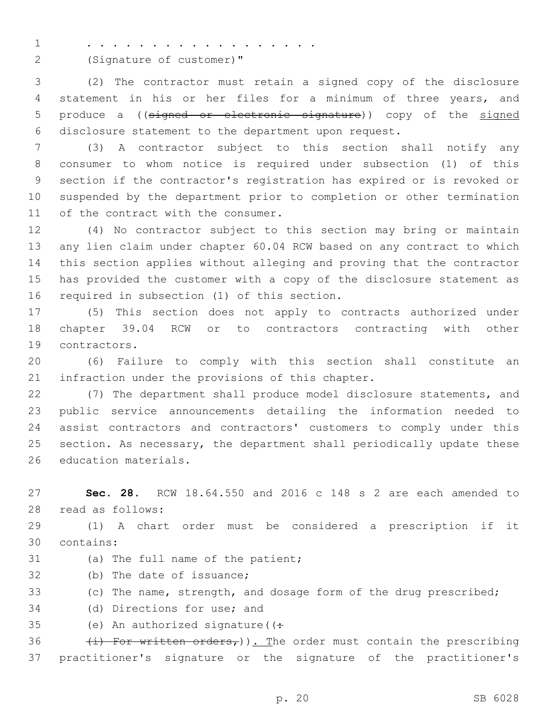. . . . . . . . . . . . . . . . . .1

(Signature of customer)"2

 (2) The contractor must retain a signed copy of the disclosure statement in his or her files for a minimum of three years, and 5 produce a ((signed or electronic signature)) copy of the signed disclosure statement to the department upon request.

 (3) A contractor subject to this section shall notify any consumer to whom notice is required under subsection (1) of this section if the contractor's registration has expired or is revoked or suspended by the department prior to completion or other termination 11 of the contract with the consumer.

 (4) No contractor subject to this section may bring or maintain any lien claim under chapter 60.04 RCW based on any contract to which this section applies without alleging and proving that the contractor has provided the customer with a copy of the disclosure statement as 16 required in subsection (1) of this section.

17 (5) This section does not apply to contracts authorized under 18 chapter 39.04 RCW or to contractors contracting with other 19 contractors.

20 (6) Failure to comply with this section shall constitute an 21 infraction under the provisions of this chapter.

22 (7) The department shall produce model disclosure statements, and 23 public service announcements detailing the information needed to 24 assist contractors and contractors' customers to comply under this 25 section. As necessary, the department shall periodically update these 26 education materials.

27 **Sec. 28.** RCW 18.64.550 and 2016 c 148 s 2 are each amended to 28 read as follows:

29 (1) A chart order must be considered a prescription if it contains:30

- 31 (a) The full name of the patient;
- 32 (b) The date of issuance;

33 (c) The name, strength, and dosage form of the drug prescribed;

34 (d) Directions for use; and

35 (e) An authorized signature ( $\left( \div \right)$ 

36  $(i)$  For written orders,  $(i)$ . The order must contain the prescribing 37 practitioner's signature or the signature of the practitioner's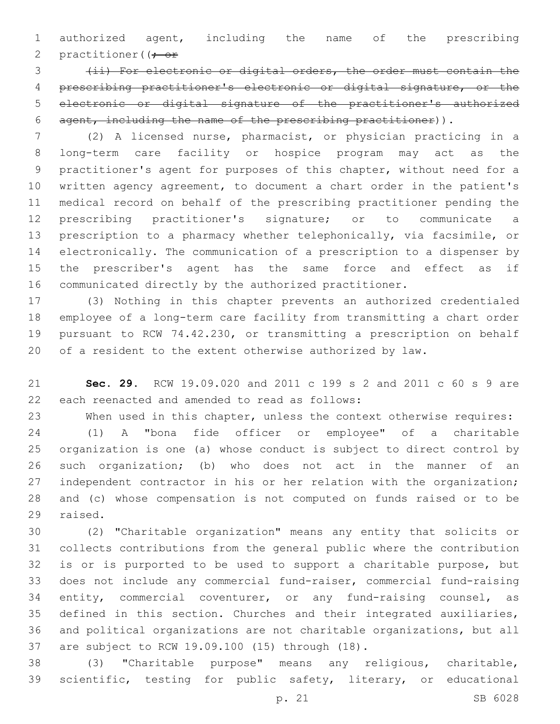authorized agent, including the name of the prescribing 2 practitioner( $\rightarrow$  or

 (ii) For electronic or digital orders, the order must contain the prescribing practitioner's electronic or digital signature, or the electronic or digital signature of the practitioner's authorized agent, including the name of the prescribing practitioner)).

 (2) A licensed nurse, pharmacist, or physician practicing in a long-term care facility or hospice program may act as the practitioner's agent for purposes of this chapter, without need for a written agency agreement, to document a chart order in the patient's medical record on behalf of the prescribing practitioner pending the prescribing practitioner's signature; or to communicate a prescription to a pharmacy whether telephonically, via facsimile, or electronically. The communication of a prescription to a dispenser by the prescriber's agent has the same force and effect as if communicated directly by the authorized practitioner.

 (3) Nothing in this chapter prevents an authorized credentialed employee of a long-term care facility from transmitting a chart order pursuant to RCW 74.42.230, or transmitting a prescription on behalf of a resident to the extent otherwise authorized by law.

 **Sec. 29.** RCW 19.09.020 and 2011 c 199 s 2 and 2011 c 60 s 9 are 22 each reenacted and amended to read as follows:

When used in this chapter, unless the context otherwise requires:

 (1) A "bona fide officer or employee" of a charitable organization is one (a) whose conduct is subject to direct control by such organization; (b) who does not act in the manner of an 27 independent contractor in his or her relation with the organization; and (c) whose compensation is not computed on funds raised or to be 29 raised.

 (2) "Charitable organization" means any entity that solicits or collects contributions from the general public where the contribution is or is purported to be used to support a charitable purpose, but does not include any commercial fund-raiser, commercial fund-raising entity, commercial coventurer, or any fund-raising counsel, as defined in this section. Churches and their integrated auxiliaries, and political organizations are not charitable organizations, but all 37 are subject to RCW 19.09.100 (15) through (18).

 (3) "Charitable purpose" means any religious, charitable, 39 scientific, testing for public safety, literary, or educational

p. 21 SB 6028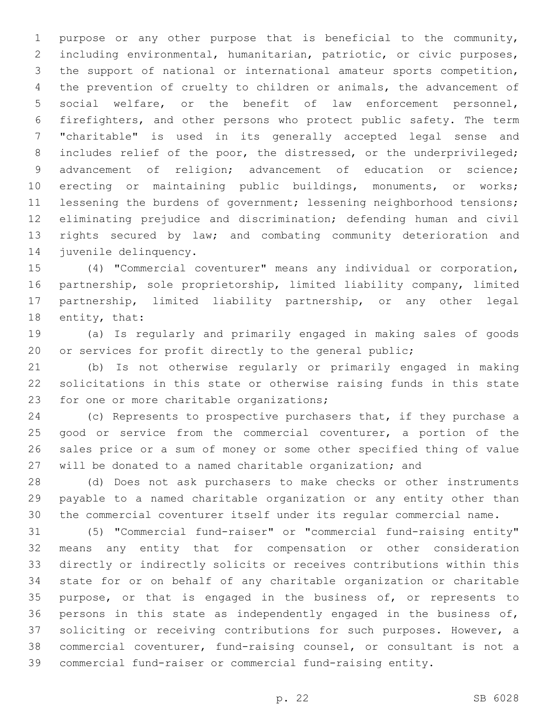purpose or any other purpose that is beneficial to the community, including environmental, humanitarian, patriotic, or civic purposes, the support of national or international amateur sports competition, the prevention of cruelty to children or animals, the advancement of social welfare, or the benefit of law enforcement personnel, firefighters, and other persons who protect public safety. The term "charitable" is used in its generally accepted legal sense and 8 includes relief of the poor, the distressed, or the underprivileged; advancement of religion; advancement of education or science; erecting or maintaining public buildings, monuments, or works; 11 lessening the burdens of government; lessening neighborhood tensions; eliminating prejudice and discrimination; defending human and civil rights secured by law; and combating community deterioration and 14 juvenile delinquency.

 (4) "Commercial coventurer" means any individual or corporation, partnership, sole proprietorship, limited liability company, limited partnership, limited liability partnership, or any other legal 18 entity, that:

 (a) Is regularly and primarily engaged in making sales of goods 20 or services for profit directly to the general public;

 (b) Is not otherwise regularly or primarily engaged in making solicitations in this state or otherwise raising funds in this state 23 for one or more charitable organizations;

 (c) Represents to prospective purchasers that, if they purchase a 25 good or service from the commercial coventurer, a portion of the sales price or a sum of money or some other specified thing of value will be donated to a named charitable organization; and

 (d) Does not ask purchasers to make checks or other instruments payable to a named charitable organization or any entity other than the commercial coventurer itself under its regular commercial name.

 (5) "Commercial fund-raiser" or "commercial fund-raising entity" means any entity that for compensation or other consideration directly or indirectly solicits or receives contributions within this state for or on behalf of any charitable organization or charitable purpose, or that is engaged in the business of, or represents to 36 persons in this state as independently engaged in the business of, soliciting or receiving contributions for such purposes. However, a commercial coventurer, fund-raising counsel, or consultant is not a commercial fund-raiser or commercial fund-raising entity.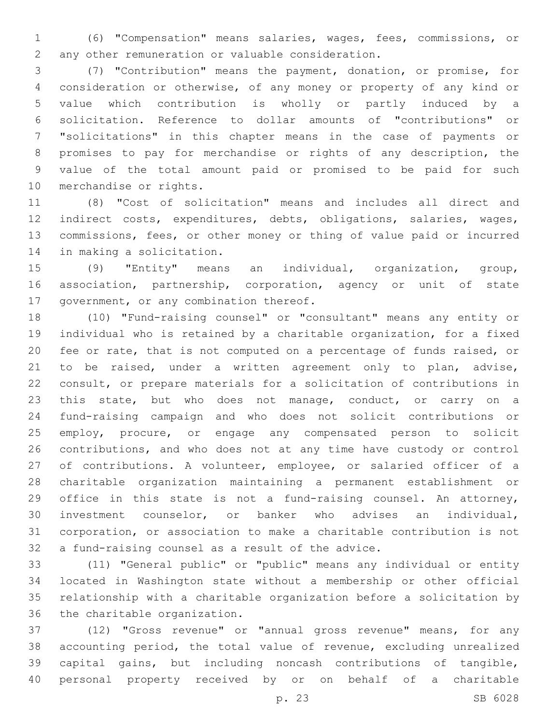(6) "Compensation" means salaries, wages, fees, commissions, or any other remuneration or valuable consideration.2

 (7) "Contribution" means the payment, donation, or promise, for consideration or otherwise, of any money or property of any kind or value which contribution is wholly or partly induced by a solicitation. Reference to dollar amounts of "contributions" or "solicitations" in this chapter means in the case of payments or promises to pay for merchandise or rights of any description, the value of the total amount paid or promised to be paid for such 10 merchandise or rights.

 (8) "Cost of solicitation" means and includes all direct and indirect costs, expenditures, debts, obligations, salaries, wages, commissions, fees, or other money or thing of value paid or incurred 14 in making a solicitation.

 (9) "Entity" means an individual, organization, group, association, partnership, corporation, agency or unit of state 17 government, or any combination thereof.

 (10) "Fund-raising counsel" or "consultant" means any entity or individual who is retained by a charitable organization, for a fixed fee or rate, that is not computed on a percentage of funds raised, or to be raised, under a written agreement only to plan, advise, consult, or prepare materials for a solicitation of contributions in 23 this state, but who does not manage, conduct, or carry on a fund-raising campaign and who does not solicit contributions or employ, procure, or engage any compensated person to solicit contributions, and who does not at any time have custody or control 27 of contributions. A volunteer, employee, or salaried officer of a charitable organization maintaining a permanent establishment or office in this state is not a fund-raising counsel. An attorney, investment counselor, or banker who advises an individual, corporation, or association to make a charitable contribution is not 32 a fund-raising counsel as a result of the advice.

 (11) "General public" or "public" means any individual or entity located in Washington state without a membership or other official relationship with a charitable organization before a solicitation by 36 the charitable organization.

 (12) "Gross revenue" or "annual gross revenue" means, for any accounting period, the total value of revenue, excluding unrealized capital gains, but including noncash contributions of tangible, personal property received by or on behalf of a charitable

p. 23 SB 6028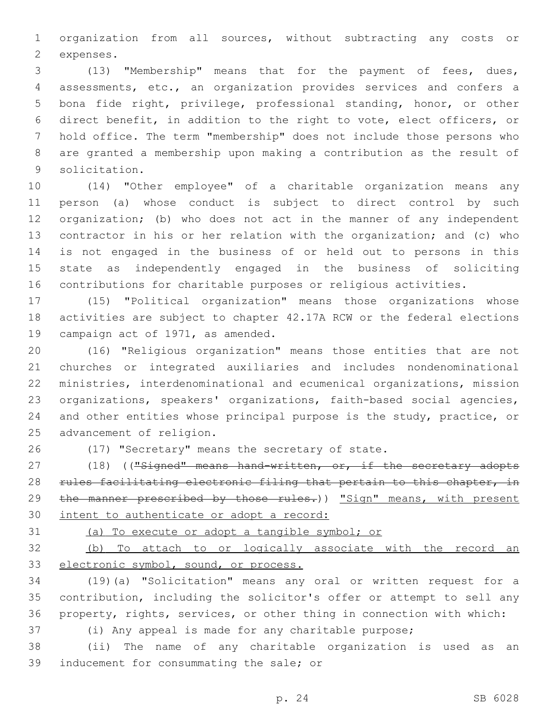organization from all sources, without subtracting any costs or 2 expenses.

 (13) "Membership" means that for the payment of fees, dues, assessments, etc., an organization provides services and confers a bona fide right, privilege, professional standing, honor, or other direct benefit, in addition to the right to vote, elect officers, or hold office. The term "membership" does not include those persons who are granted a membership upon making a contribution as the result of 9 solicitation.

 (14) "Other employee" of a charitable organization means any person (a) whose conduct is subject to direct control by such organization; (b) who does not act in the manner of any independent contractor in his or her relation with the organization; and (c) who is not engaged in the business of or held out to persons in this state as independently engaged in the business of soliciting contributions for charitable purposes or religious activities.

 (15) "Political organization" means those organizations whose activities are subject to chapter 42.17A RCW or the federal elections 19 campaign act of 1971, as amended.

 (16) "Religious organization" means those entities that are not churches or integrated auxiliaries and includes nondenominational ministries, interdenominational and ecumenical organizations, mission organizations, speakers' organizations, faith-based social agencies, and other entities whose principal purpose is the study, practice, or 25 advancement of religion.

(17) "Secretary" means the secretary of state.

27 (18) (("Signed" means hand-written, or, if the secretary adopts 28 rules facilitating electronic filing that pertain to this chapter, in 29 the manner prescribed by those rules.)) "Sign" means, with present intent to authenticate or adopt a record:

(a) To execute or adopt a tangible symbol; or

 (b) To attach to or logically associate with the record an electronic symbol, sound, or process.

 (19)(a) "Solicitation" means any oral or written request for a contribution, including the solicitor's offer or attempt to sell any property, rights, services, or other thing in connection with which:

(i) Any appeal is made for any charitable purpose;

 (ii) The name of any charitable organization is used as an 39 inducement for consummating the sale; or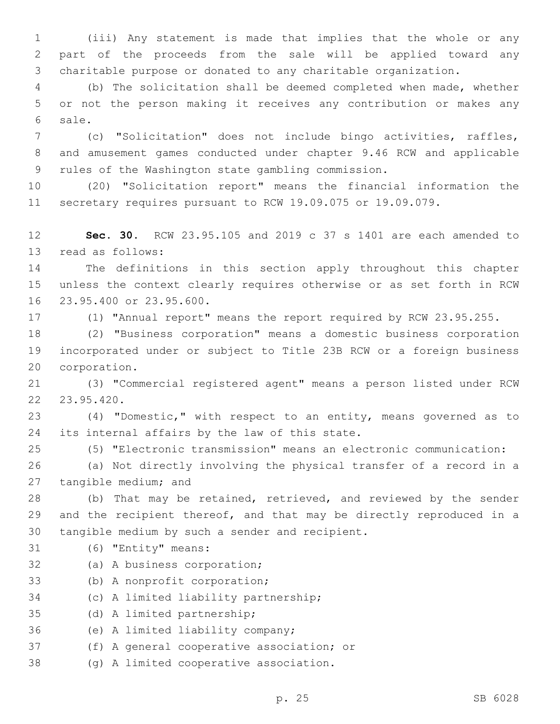1 (iii) Any statement is made that implies that the whole or any 2 part of the proceeds from the sale will be applied toward any 3 charitable purpose or donated to any charitable organization.

4 (b) The solicitation shall be deemed completed when made, whether 5 or not the person making it receives any contribution or makes any 6 sale.

7 (c) "Solicitation" does not include bingo activities, raffles, 8 and amusement games conducted under chapter 9.46 RCW and applicable 9 rules of the Washington state gambling commission.

10 (20) "Solicitation report" means the financial information the 11 secretary requires pursuant to RCW 19.09.075 or 19.09.079.

12 **Sec. 30.** RCW 23.95.105 and 2019 c 37 s 1401 are each amended to 13 read as follows:

14 The definitions in this section apply throughout this chapter 15 unless the context clearly requires otherwise or as set forth in RCW 16 23.95.400 or 23.95.600.

17 (1) "Annual report" means the report required by RCW 23.95.255.

18 (2) "Business corporation" means a domestic business corporation 19 incorporated under or subject to Title 23B RCW or a foreign business 20 corporation.

21 (3) "Commercial registered agent" means a person listed under RCW 23.95.420.22

23 (4) "Domestic," with respect to an entity, means governed as to 24 its internal affairs by the law of this state.

25 (5) "Electronic transmission" means an electronic communication:

26 (a) Not directly involving the physical transfer of a record in a 27 tangible medium; and

28 (b) That may be retained, retrieved, and reviewed by the sender 29 and the recipient thereof, and that may be directly reproduced in a 30 tangible medium by such a sender and recipient.

- 31 (6) "Entity" means:
- 32 (a) A business corporation;
- 33 (b) A nonprofit corporation;
- 34 (c) A limited liability partnership;
- 35 (d) A limited partnership;
- 36 (e) A limited liability company;
- 37 (f) A general cooperative association; or
- 38 (g) A limited cooperative association.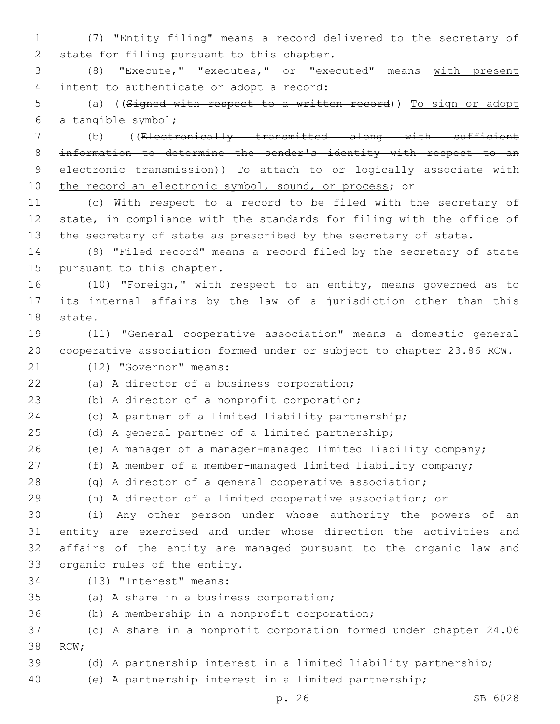1 (7) "Entity filing" means a record delivered to the secretary of 2 state for filing pursuant to this chapter.

3 (8) "Execute," "executes," or "executed" means with present 4 intent to authenticate or adopt a record:

5 (a) ((Signed with respect to a written record)) To sign or adopt a tangible symbol;6

7 (b) ((Electronically transmitted along with sufficient 8 information to determine the sender's identity with respect to an 9 electronic transmission)) To attach to or logically associate with 10 the record an electronic symbol, sound, or process; or

11 (c) With respect to a record to be filed with the secretary of 12 state, in compliance with the standards for filing with the office of 13 the secretary of state as prescribed by the secretary of state.

14 (9) "Filed record" means a record filed by the secretary of state 15 pursuant to this chapter.

16 (10) "Foreign," with respect to an entity, means governed as to 17 its internal affairs by the law of a jurisdiction other than this 18 state.

19 (11) "General cooperative association" means a domestic general 20 cooperative association formed under or subject to chapter 23.86 RCW.

21 (12) "Governor" means:

22 (a) A director of a business corporation;

23 (b) A director of a nonprofit corporation;

24 (c) A partner of a limited liability partnership;

25 (d) A general partner of a limited partnership;

26 (e) A manager of a manager-managed limited liability company;

27 (f) A member of a member-managed limited liability company;

28 (g) A director of a general cooperative association;

29 (h) A director of a limited cooperative association; or

 (i) Any other person under whose authority the powers of an entity are exercised and under whose direction the activities and affairs of the entity are managed pursuant to the organic law and 33 organic rules of the entity.

- 34 (13) "Interest" means:
- 35 (a) A share in a business corporation;
- 36 (b) A membership in a nonprofit corporation;

37 (c) A share in a nonprofit corporation formed under chapter 24.06 38 RCW;

- 39 (d) A partnership interest in a limited liability partnership;
- 40 (e) A partnership interest in a limited partnership;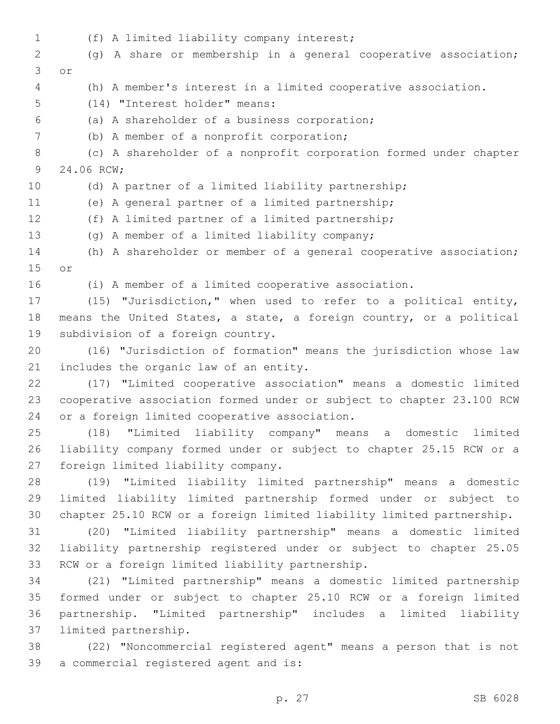(f) A limited liability company interest;1 (g) A share or membership in a general cooperative association; 3 or (h) A member's interest in a limited cooperative association. 5 (14) "Interest holder" means: (a) A shareholder of a business corporation;6 (b) A member of a nonprofit corporation;7 (c) A shareholder of a nonprofit corporation formed under chapter 9 24.06 RCW; (d) A partner of a limited liability partnership; (e) A general partner of a limited partnership; (f) A limited partner of a limited partnership; (g) A member of a limited liability company;13 (h) A shareholder or member of a general cooperative association; 15 or (i) A member of a limited cooperative association. (15) "Jurisdiction," when used to refer to a political entity, means the United States, a state, a foreign country, or a political 19 subdivision of a foreign country. (16) "Jurisdiction of formation" means the jurisdiction whose law 21 includes the organic law of an entity. (17) "Limited cooperative association" means a domestic limited cooperative association formed under or subject to chapter 23.100 RCW 24 or a foreign limited cooperative association. (18) "Limited liability company" means a domestic limited liability company formed under or subject to chapter 25.15 RCW or a 27 foreign limited liability company. (19) "Limited liability limited partnership" means a domestic limited liability limited partnership formed under or subject to chapter 25.10 RCW or a foreign limited liability limited partnership. (20) "Limited liability partnership" means a domestic limited liability partnership registered under or subject to chapter 25.05 33 RCW or a foreign limited liability partnership. (21) "Limited partnership" means a domestic limited partnership formed under or subject to chapter 25.10 RCW or a foreign limited partnership. "Limited partnership" includes a limited liability 37 limited partnership. (22) "Noncommercial registered agent" means a person that is not 39 a commercial registered agent and is: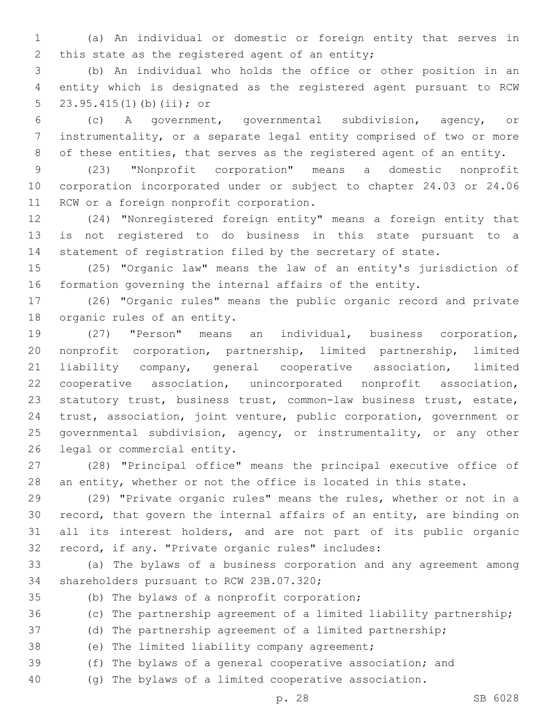(a) An individual or domestic or foreign entity that serves in 2 this state as the registered agent of an entity;

 (b) An individual who holds the office or other position in an entity which is designated as the registered agent pursuant to RCW 5  $23.95.415(1)(b)(ii);$  or

 (c) A government, governmental subdivision, agency, or instrumentality, or a separate legal entity comprised of two or more of these entities, that serves as the registered agent of an entity.

 (23) "Nonprofit corporation" means a domestic nonprofit corporation incorporated under or subject to chapter 24.03 or 24.06 11 RCW or a foreign nonprofit corporation.

 (24) "Nonregistered foreign entity" means a foreign entity that is not registered to do business in this state pursuant to a statement of registration filed by the secretary of state.

 (25) "Organic law" means the law of an entity's jurisdiction of formation governing the internal affairs of the entity.

 (26) "Organic rules" means the public organic record and private 18 organic rules of an entity.

 (27) "Person" means an individual, business corporation, nonprofit corporation, partnership, limited partnership, limited liability company, general cooperative association, limited cooperative association, unincorporated nonprofit association, statutory trust, business trust, common-law business trust, estate, trust, association, joint venture, public corporation, government or governmental subdivision, agency, or instrumentality, or any other 26 legal or commercial entity.

 (28) "Principal office" means the principal executive office of an entity, whether or not the office is located in this state.

 (29) "Private organic rules" means the rules, whether or not in a record, that govern the internal affairs of an entity, are binding on all its interest holders, and are not part of its public organic 32 record, if any. "Private organic rules" includes:

 (a) The bylaws of a business corporation and any agreement among 34 shareholders pursuant to RCW 23B.07.320;

35 (b) The bylaws of a nonprofit corporation;

(c) The partnership agreement of a limited liability partnership;

(d) The partnership agreement of a limited partnership;

38 (e) The limited liability company agreement;

(f) The bylaws of a general cooperative association; and

(g) The bylaws of a limited cooperative association.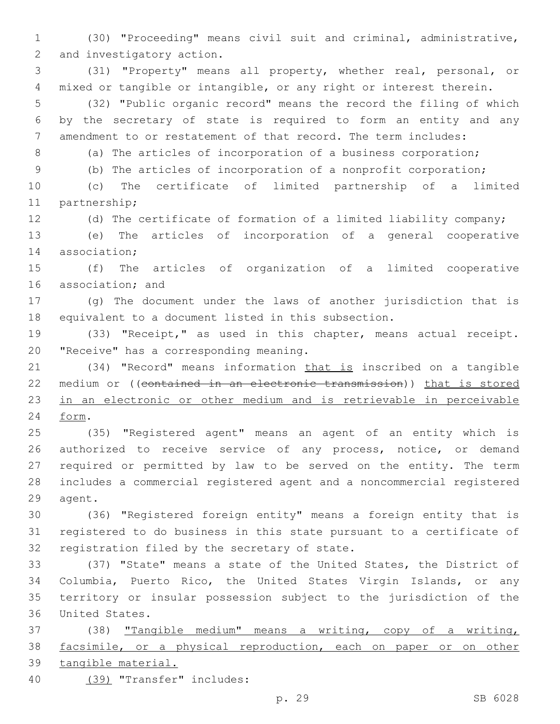(30) "Proceeding" means civil suit and criminal, administrative, 2 and investigatory action.

 (31) "Property" means all property, whether real, personal, or mixed or tangible or intangible, or any right or interest therein.

 (32) "Public organic record" means the record the filing of which by the secretary of state is required to form an entity and any amendment to or restatement of that record. The term includes:

(a) The articles of incorporation of a business corporation;

(b) The articles of incorporation of a nonprofit corporation;

 (c) The certificate of limited partnership of a limited 11 partnership;

(d) The certificate of formation of a limited liability company;

 (e) The articles of incorporation of a general cooperative 14 association;

 (f) The articles of organization of a limited cooperative 16 association; and

 (g) The document under the laws of another jurisdiction that is equivalent to a document listed in this subsection.

 (33) "Receipt," as used in this chapter, means actual receipt. 20 "Receive" has a corresponding meaning.

21 (34) "Record" means information that is inscribed on a tangible medium or ((contained in an electronic transmission)) that is stored in an electronic or other medium and is retrievable in perceivable form.24

 (35) "Registered agent" means an agent of an entity which is authorized to receive service of any process, notice, or demand required or permitted by law to be served on the entity. The term includes a commercial registered agent and a noncommercial registered 29 agent.

 (36) "Registered foreign entity" means a foreign entity that is registered to do business in this state pursuant to a certificate of 32 registration filed by the secretary of state.

 (37) "State" means a state of the United States, the District of Columbia, Puerto Rico, the United States Virgin Islands, or any territory or insular possession subject to the jurisdiction of the 36 United States.

 (38) "Tangible medium" means a writing, copy of a writing, 38 facsimile, or a physical reproduction, each on paper or on other tangible material. (39) "Transfer" includes:40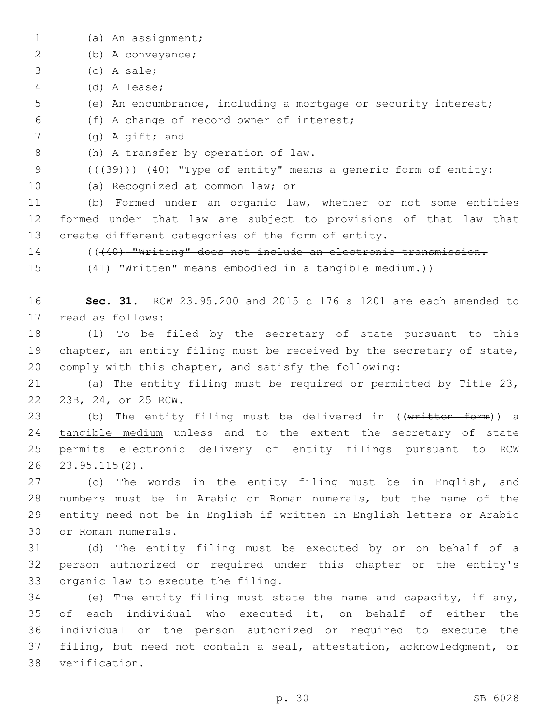- (a) An assignment;1
- 2 (b) A conveyance;
- 3 (c) A sale;
- (d) A lease;4
- 5 (e) An encumbrance, including a mortgage or security interest;
- (f) A change of record owner of interest;6
- $7$  (g) A gift; and
- 8 (h) A transfer by operation of law.
- 9 (( $(39)$ )) (40) "Type of entity" means a generic form of entity:
- 10 (a) Recognized at common law; or

11 (b) Formed under an organic law, whether or not some entities 12 formed under that law are subject to provisions of that law that 13 create different categories of the form of entity.

14 (((40) "Writing" does not include an electronic transmission.

15 (41) "Written" means embodied in a tangible medium.))

16 **Sec. 31.** RCW 23.95.200 and 2015 c 176 s 1201 are each amended to 17 read as follows:

18 (1) To be filed by the secretary of state pursuant to this 19 chapter, an entity filing must be received by the secretary of state, 20 comply with this chapter, and satisfy the following:

21 (a) The entity filing must be required or permitted by Title 23, 22 23B, 24, or 25 RCW.

23 (b) The entity filing must be delivered in ((written form)) a 24 tangible medium unless and to the extent the secretary of state 25 permits electronic delivery of entity filings pursuant to RCW 23.95.115(2).26

 (c) The words in the entity filing must be in English, and numbers must be in Arabic or Roman numerals, but the name of the entity need not be in English if written in English letters or Arabic 30 or Roman numerals.

31 (d) The entity filing must be executed by or on behalf of a 32 person authorized or required under this chapter or the entity's 33 organic law to execute the filing.

 (e) The entity filing must state the name and capacity, if any, of each individual who executed it, on behalf of either the individual or the person authorized or required to execute the filing, but need not contain a seal, attestation, acknowledgment, or verification.38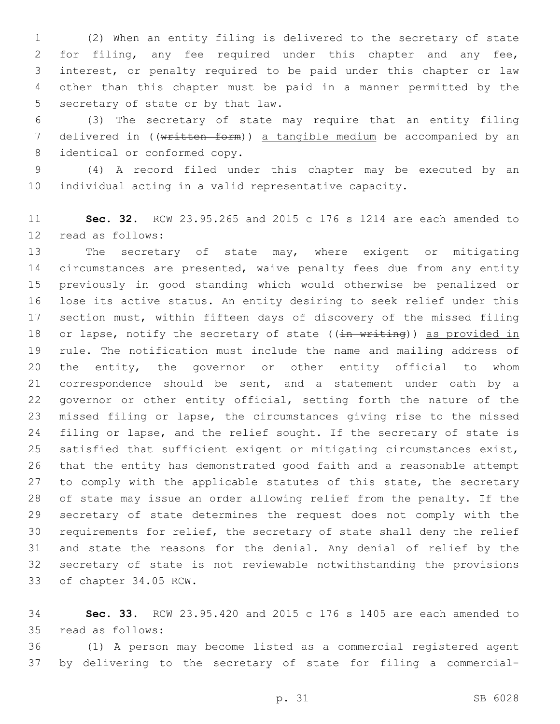(2) When an entity filing is delivered to the secretary of state for filing, any fee required under this chapter and any fee, interest, or penalty required to be paid under this chapter or law other than this chapter must be paid in a manner permitted by the 5 secretary of state or by that law.

 (3) The secretary of state may require that an entity filing 7 delivered in ((written form)) a tangible medium be accompanied by an 8 identical or conformed copy.

 (4) A record filed under this chapter may be executed by an individual acting in a valid representative capacity.

 **Sec. 32.** RCW 23.95.265 and 2015 c 176 s 1214 are each amended to 12 read as follows:

 The secretary of state may, where exigent or mitigating circumstances are presented, waive penalty fees due from any entity previously in good standing which would otherwise be penalized or lose its active status. An entity desiring to seek relief under this section must, within fifteen days of discovery of the missed filing 18 or lapse, notify the secretary of state ((in writing)) as provided in 19 rule. The notification must include the name and mailing address of the entity, the governor or other entity official to whom correspondence should be sent, and a statement under oath by a governor or other entity official, setting forth the nature of the missed filing or lapse, the circumstances giving rise to the missed 24 filing or lapse, and the relief sought. If the secretary of state is satisfied that sufficient exigent or mitigating circumstances exist, that the entity has demonstrated good faith and a reasonable attempt 27 to comply with the applicable statutes of this state, the secretary of state may issue an order allowing relief from the penalty. If the secretary of state determines the request does not comply with the requirements for relief, the secretary of state shall deny the relief and state the reasons for the denial. Any denial of relief by the secretary of state is not reviewable notwithstanding the provisions 33 of chapter 34.05 RCW.

 **Sec. 33.** RCW 23.95.420 and 2015 c 176 s 1405 are each amended to 35 read as follows:

 (1) A person may become listed as a commercial registered agent by delivering to the secretary of state for filing a commercial-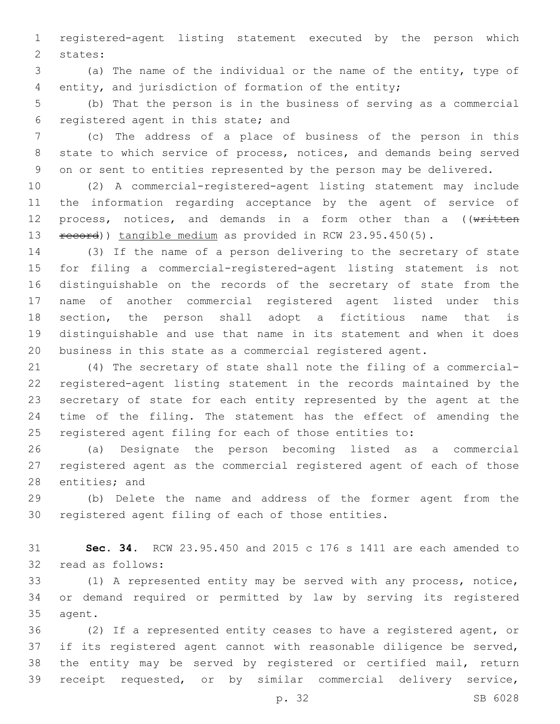registered-agent listing statement executed by the person which 2 states:

 (a) The name of the individual or the name of the entity, type of entity, and jurisdiction of formation of the entity;

 (b) That the person is in the business of serving as a commercial registered agent in this state; and6

 (c) The address of a place of business of the person in this state to which service of process, notices, and demands being served on or sent to entities represented by the person may be delivered.

 (2) A commercial-registered-agent listing statement may include the information regarding acceptance by the agent of service of 12 process, notices, and demands in a form other than a ((written 13 record)) tangible medium as provided in RCW 23.95.450(5).

 (3) If the name of a person delivering to the secretary of state for filing a commercial-registered-agent listing statement is not distinguishable on the records of the secretary of state from the name of another commercial registered agent listed under this section, the person shall adopt a fictitious name that is distinguishable and use that name in its statement and when it does business in this state as a commercial registered agent.

 (4) The secretary of state shall note the filing of a commercial- registered-agent listing statement in the records maintained by the secretary of state for each entity represented by the agent at the time of the filing. The statement has the effect of amending the registered agent filing for each of those entities to:

 (a) Designate the person becoming listed as a commercial registered agent as the commercial registered agent of each of those 28 entities; and

 (b) Delete the name and address of the former agent from the registered agent filing of each of those entities.

 **Sec. 34.** RCW 23.95.450 and 2015 c 176 s 1411 are each amended to 32 read as follows:

 (1) A represented entity may be served with any process, notice, or demand required or permitted by law by serving its registered 35 agent.

 (2) If a represented entity ceases to have a registered agent, or if its registered agent cannot with reasonable diligence be served, the entity may be served by registered or certified mail, return receipt requested, or by similar commercial delivery service,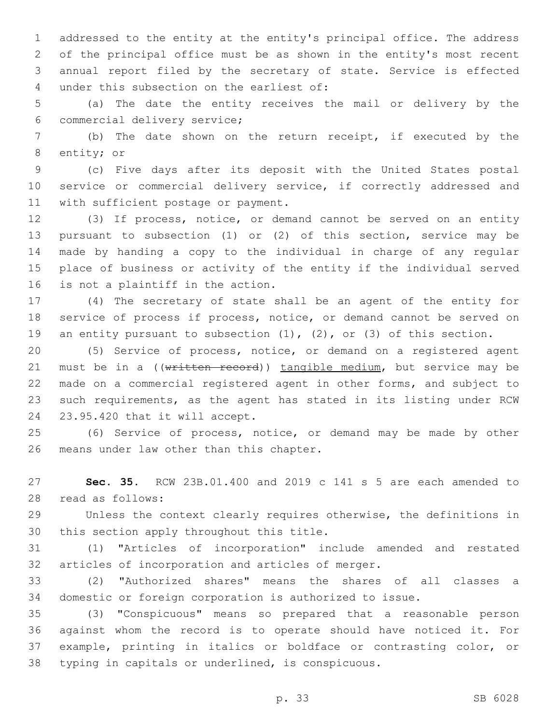addressed to the entity at the entity's principal office. The address of the principal office must be as shown in the entity's most recent annual report filed by the secretary of state. Service is effected 4 under this subsection on the earliest of:

 (a) The date the entity receives the mail or delivery by the commercial delivery service;6

 (b) The date shown on the return receipt, if executed by the 8 entity; or

 (c) Five days after its deposit with the United States postal service or commercial delivery service, if correctly addressed and 11 with sufficient postage or payment.

 (3) If process, notice, or demand cannot be served on an entity pursuant to subsection (1) or (2) of this section, service may be made by handing a copy to the individual in charge of any regular place of business or activity of the entity if the individual served 16 is not a plaintiff in the action.

 (4) The secretary of state shall be an agent of the entity for service of process if process, notice, or demand cannot be served on 19 an entity pursuant to subsection  $(1)$ ,  $(2)$ , or  $(3)$  of this section.

 (5) Service of process, notice, or demand on a registered agent 21 must be in a ((written record)) tangible medium, but service may be made on a commercial registered agent in other forms, and subject to such requirements, as the agent has stated in its listing under RCW 23.95.420 that it will accept.24

 (6) Service of process, notice, or demand may be made by other 26 means under law other than this chapter.

 **Sec. 35.** RCW 23B.01.400 and 2019 c 141 s 5 are each amended to read as follows:28

 Unless the context clearly requires otherwise, the definitions in 30 this section apply throughout this title.

 (1) "Articles of incorporation" include amended and restated 32 articles of incorporation and articles of merger.

 (2) "Authorized shares" means the shares of all classes a domestic or foreign corporation is authorized to issue.

 (3) "Conspicuous" means so prepared that a reasonable person against whom the record is to operate should have noticed it. For example, printing in italics or boldface or contrasting color, or 38 typing in capitals or underlined, is conspicuous.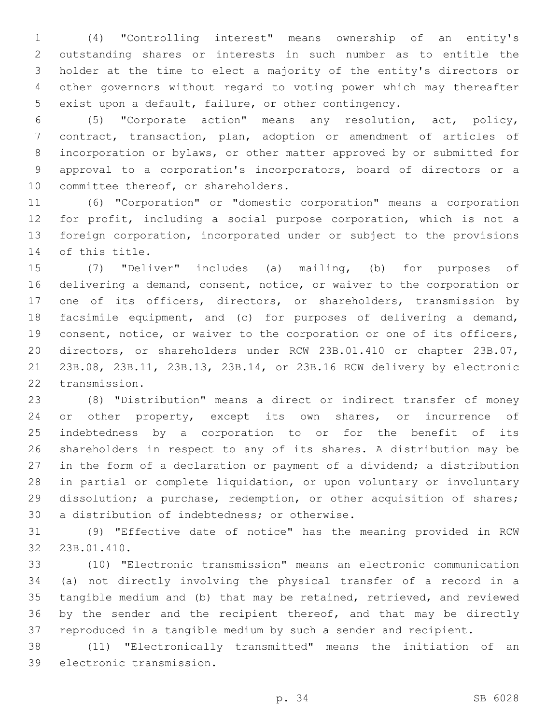(4) "Controlling interest" means ownership of an entity's outstanding shares or interests in such number as to entitle the holder at the time to elect a majority of the entity's directors or other governors without regard to voting power which may thereafter exist upon a default, failure, or other contingency.

 (5) "Corporate action" means any resolution, act, policy, contract, transaction, plan, adoption or amendment of articles of incorporation or bylaws, or other matter approved by or submitted for approval to a corporation's incorporators, board of directors or a 10 committee thereof, or shareholders.

 (6) "Corporation" or "domestic corporation" means a corporation for profit, including a social purpose corporation, which is not a foreign corporation, incorporated under or subject to the provisions 14 of this title.

 (7) "Deliver" includes (a) mailing, (b) for purposes of delivering a demand, consent, notice, or waiver to the corporation or 17 one of its officers, directors, or shareholders, transmission by facsimile equipment, and (c) for purposes of delivering a demand, consent, notice, or waiver to the corporation or one of its officers, directors, or shareholders under RCW 23B.01.410 or chapter 23B.07, 23B.08, 23B.11, 23B.13, 23B.14, or 23B.16 RCW delivery by electronic 22 transmission.

 (8) "Distribution" means a direct or indirect transfer of money 24 or other property, except its own shares, or incurrence of indebtedness by a corporation to or for the benefit of its shareholders in respect to any of its shares. A distribution may be in the form of a declaration or payment of a dividend; a distribution in partial or complete liquidation, or upon voluntary or involuntary dissolution; a purchase, redemption, or other acquisition of shares; 30 a distribution of indebtedness; or otherwise.

 (9) "Effective date of notice" has the meaning provided in RCW 32 23B.01.410.

 (10) "Electronic transmission" means an electronic communication (a) not directly involving the physical transfer of a record in a tangible medium and (b) that may be retained, retrieved, and reviewed 36 by the sender and the recipient thereof, and that may be directly reproduced in a tangible medium by such a sender and recipient.

 (11) "Electronically transmitted" means the initiation of an 39 electronic transmission.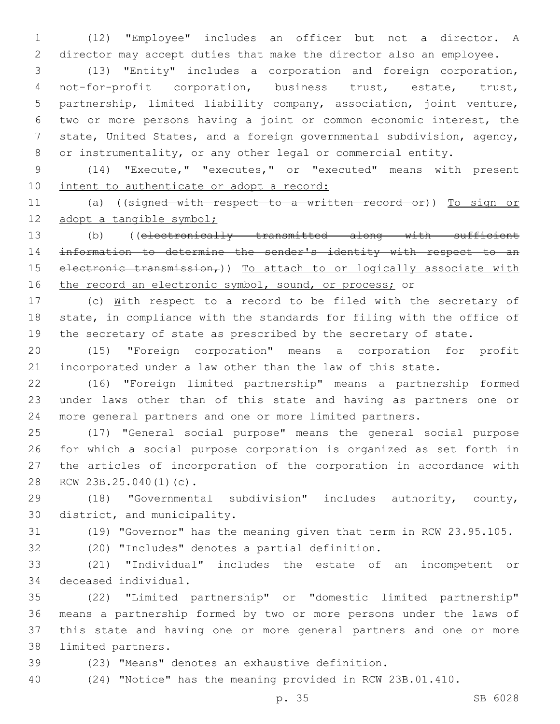(12) "Employee" includes an officer but not a director. A director may accept duties that make the director also an employee.

 (13) "Entity" includes a corporation and foreign corporation, not-for-profit corporation, business trust, estate, trust, partnership, limited liability company, association, joint venture, two or more persons having a joint or common economic interest, the state, United States, and a foreign governmental subdivision, agency, or instrumentality, or any other legal or commercial entity.

9 (14) "Execute," "executes," or "executed" means with present 10 intent to authenticate or adopt a record:

 (a) ((signed with respect to a written record or)) To sign or adopt a tangible symbol;

 (b) ((electronically transmitted along with sufficient information to determine the sender's identity with respect to an 15 electronic transmission,)) To attach to or logically associate with 16 the record an electronic symbol, sound, or process; or

17 (c)  $M$ ith respect to a record to be filed with the secretary of state, in compliance with the standards for filing with the office of the secretary of state as prescribed by the secretary of state.

 (15) "Foreign corporation" means a corporation for profit incorporated under a law other than the law of this state.

 (16) "Foreign limited partnership" means a partnership formed under laws other than of this state and having as partners one or more general partners and one or more limited partners.

 (17) "General social purpose" means the general social purpose for which a social purpose corporation is organized as set forth in the articles of incorporation of the corporation in accordance with 28 RCW 23B.25.040(1)(c).

 (18) "Governmental subdivision" includes authority, county, 30 district, and municipality.

(19) "Governor" has the meaning given that term in RCW 23.95.105.

32 (20) "Includes" denotes a partial definition.

 (21) "Individual" includes the estate of an incompetent or deceased individual.34

 (22) "Limited partnership" or "domestic limited partnership" means a partnership formed by two or more persons under the laws of this state and having one or more general partners and one or more 38 limited partners.

(23) "Means" denotes an exhaustive definition.

(24) "Notice" has the meaning provided in RCW 23B.01.410.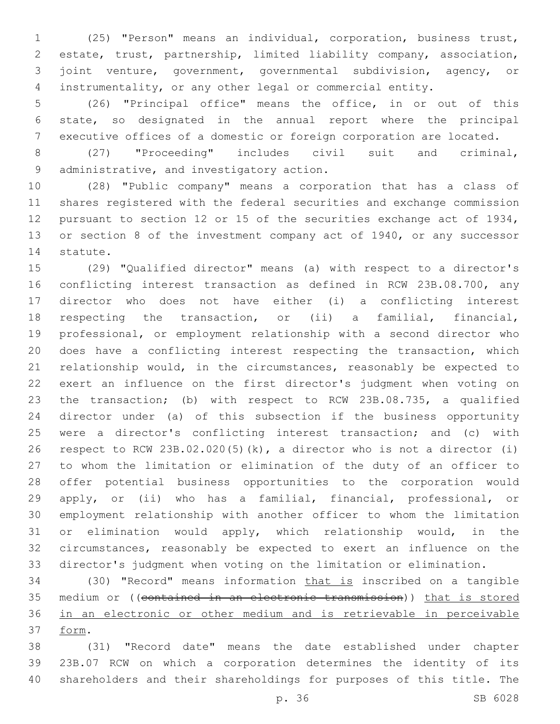(25) "Person" means an individual, corporation, business trust, estate, trust, partnership, limited liability company, association, joint venture, government, governmental subdivision, agency, or instrumentality, or any other legal or commercial entity.

 (26) "Principal office" means the office, in or out of this state, so designated in the annual report where the principal executive offices of a domestic or foreign corporation are located.

 (27) "Proceeding" includes civil suit and criminal, 9 administrative, and investigatory action.

 (28) "Public company" means a corporation that has a class of shares registered with the federal securities and exchange commission pursuant to section 12 or 15 of the securities exchange act of 1934, or section 8 of the investment company act of 1940, or any successor 14 statute.

 (29) "Qualified director" means (a) with respect to a director's conflicting interest transaction as defined in RCW 23B.08.700, any director who does not have either (i) a conflicting interest respecting the transaction, or (ii) a familial, financial, professional, or employment relationship with a second director who does have a conflicting interest respecting the transaction, which relationship would, in the circumstances, reasonably be expected to exert an influence on the first director's judgment when voting on the transaction; (b) with respect to RCW 23B.08.735, a qualified director under (a) of this subsection if the business opportunity were a director's conflicting interest transaction; and (c) with respect to RCW 23B.02.020(5)(k), a director who is not a director (i) to whom the limitation or elimination of the duty of an officer to offer potential business opportunities to the corporation would apply, or (ii) who has a familial, financial, professional, or employment relationship with another officer to whom the limitation or elimination would apply, which relationship would, in the circumstances, reasonably be expected to exert an influence on the director's judgment when voting on the limitation or elimination.

 (30) "Record" means information that is inscribed on a tangible medium or ((contained in an electronic transmission)) that is stored in an electronic or other medium and is retrievable in perceivable 37 form.

 (31) "Record date" means the date established under chapter 23B.07 RCW on which a corporation determines the identity of its shareholders and their shareholdings for purposes of this title. The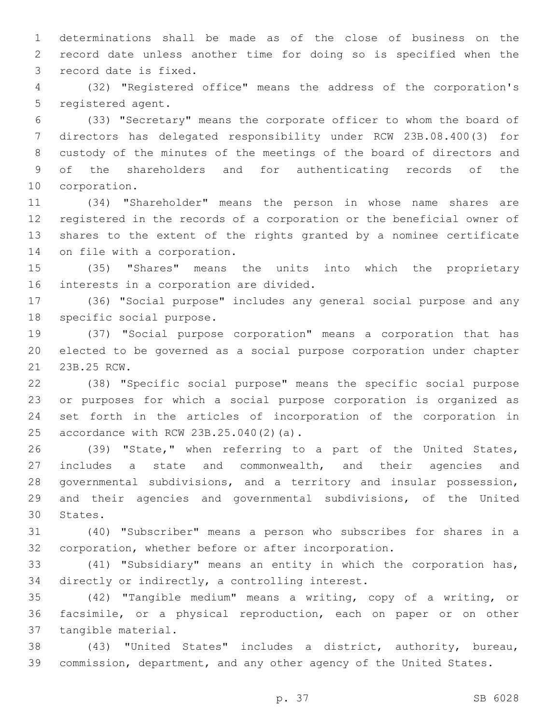determinations shall be made as of the close of business on the record date unless another time for doing so is specified when the 3 record date is fixed.

 (32) "Registered office" means the address of the corporation's 5 registered agent.

 (33) "Secretary" means the corporate officer to whom the board of directors has delegated responsibility under RCW 23B.08.400(3) for custody of the minutes of the meetings of the board of directors and of the shareholders and for authenticating records of the 10 corporation.

 (34) "Shareholder" means the person in whose name shares are registered in the records of a corporation or the beneficial owner of shares to the extent of the rights granted by a nominee certificate 14 on file with a corporation.

 (35) "Shares" means the units into which the proprietary 16 interests in a corporation are divided.

 (36) "Social purpose" includes any general social purpose and any 18 specific social purpose.

 (37) "Social purpose corporation" means a corporation that has elected to be governed as a social purpose corporation under chapter 21 23B.25 RCW.

 (38) "Specific social purpose" means the specific social purpose or purposes for which a social purpose corporation is organized as set forth in the articles of incorporation of the corporation in 25 accordance with RCW 23B.25.040(2)(a).

 (39) "State," when referring to a part of the United States, includes a state and commonwealth, and their agencies and governmental subdivisions, and a territory and insular possession, and their agencies and governmental subdivisions, of the United 30 States.

 (40) "Subscriber" means a person who subscribes for shares in a corporation, whether before or after incorporation.

 (41) "Subsidiary" means an entity in which the corporation has, 34 directly or indirectly, a controlling interest.

 (42) "Tangible medium" means a writing, copy of a writing, or facsimile, or a physical reproduction, each on paper or on other 37 tangible material.

 (43) "United States" includes a district, authority, bureau, commission, department, and any other agency of the United States.

p. 37 SB 6028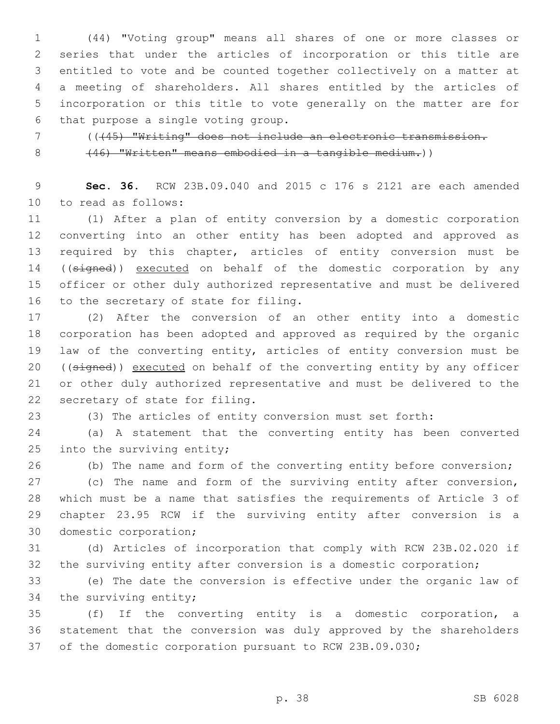(44) "Voting group" means all shares of one or more classes or series that under the articles of incorporation or this title are entitled to vote and be counted together collectively on a matter at a meeting of shareholders. All shares entitled by the articles of incorporation or this title to vote generally on the matter are for 6 that purpose a single voting group.

 (((45) "Writing" does not include an electronic transmission. 8 (46) "Written" means embodied in a tangible medium.)

 **Sec. 36.** RCW 23B.09.040 and 2015 c 176 s 2121 are each amended 10 to read as follows:

 (1) After a plan of entity conversion by a domestic corporation converting into an other entity has been adopted and approved as required by this chapter, articles of entity conversion must be 14 ((signed)) executed on behalf of the domestic corporation by any officer or other duly authorized representative and must be delivered 16 to the secretary of state for filing.

 (2) After the conversion of an other entity into a domestic corporation has been adopted and approved as required by the organic law of the converting entity, articles of entity conversion must be 20 ((signed)) executed on behalf of the converting entity by any officer or other duly authorized representative and must be delivered to the 22 secretary of state for filing.

(3) The articles of entity conversion must set forth:

 (a) A statement that the converting entity has been converted 25 into the surviving entity;

(b) The name and form of the converting entity before conversion;

 (c) The name and form of the surviving entity after conversion, which must be a name that satisfies the requirements of Article 3 of chapter 23.95 RCW if the surviving entity after conversion is a 30 domestic corporation;

 (d) Articles of incorporation that comply with RCW 23B.02.020 if the surviving entity after conversion is a domestic corporation;

 (e) The date the conversion is effective under the organic law of 34 the surviving entity;

 (f) If the converting entity is a domestic corporation, a statement that the conversion was duly approved by the shareholders of the domestic corporation pursuant to RCW 23B.09.030;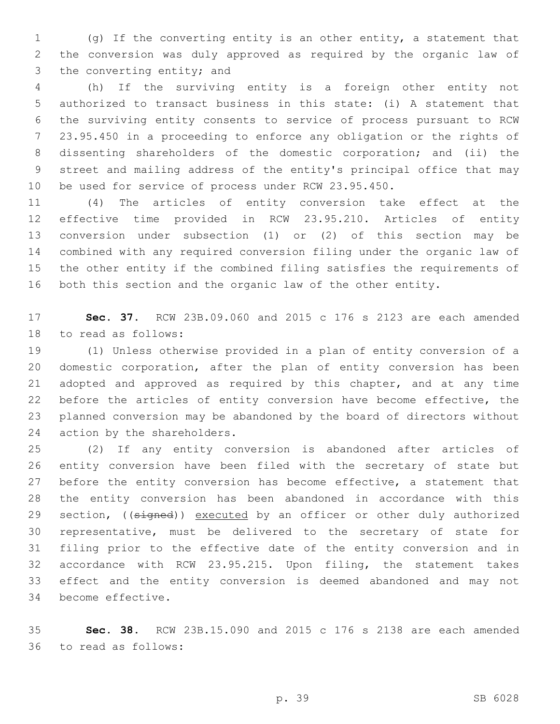(g) If the converting entity is an other entity, a statement that the conversion was duly approved as required by the organic law of 3 the converting entity; and

 (h) If the surviving entity is a foreign other entity not authorized to transact business in this state: (i) A statement that the surviving entity consents to service of process pursuant to RCW 23.95.450 in a proceeding to enforce any obligation or the rights of dissenting shareholders of the domestic corporation; and (ii) the street and mailing address of the entity's principal office that may be used for service of process under RCW 23.95.450.

 (4) The articles of entity conversion take effect at the effective time provided in RCW 23.95.210. Articles of entity conversion under subsection (1) or (2) of this section may be combined with any required conversion filing under the organic law of the other entity if the combined filing satisfies the requirements of both this section and the organic law of the other entity.

 **Sec. 37.** RCW 23B.09.060 and 2015 c 176 s 2123 are each amended 18 to read as follows:

 (1) Unless otherwise provided in a plan of entity conversion of a domestic corporation, after the plan of entity conversion has been adopted and approved as required by this chapter, and at any time before the articles of entity conversion have become effective, the planned conversion may be abandoned by the board of directors without 24 action by the shareholders.

 (2) If any entity conversion is abandoned after articles of entity conversion have been filed with the secretary of state but 27 before the entity conversion has become effective, a statement that the entity conversion has been abandoned in accordance with this 29 section, ((signed)) executed by an officer or other duly authorized representative, must be delivered to the secretary of state for filing prior to the effective date of the entity conversion and in accordance with RCW 23.95.215. Upon filing, the statement takes effect and the entity conversion is deemed abandoned and may not 34 become effective.

 **Sec. 38.** RCW 23B.15.090 and 2015 c 176 s 2138 are each amended 36 to read as follows: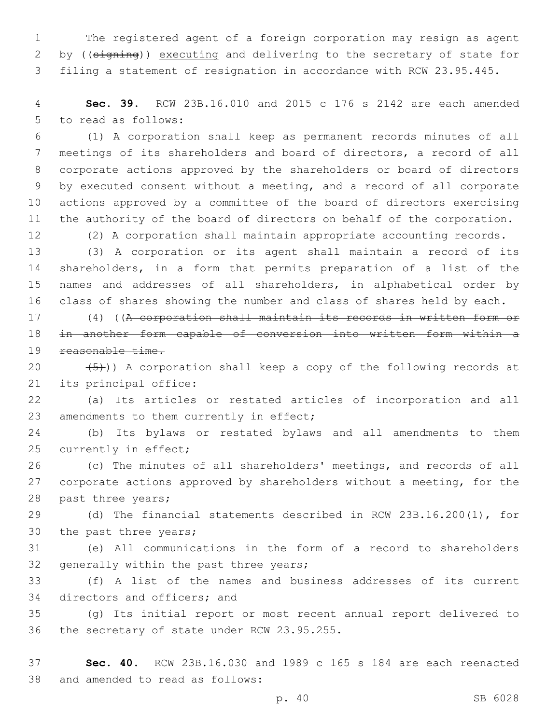The registered agent of a foreign corporation may resign as agent 2 by ((signing)) executing and delivering to the secretary of state for filing a statement of resignation in accordance with RCW 23.95.445.

 **Sec. 39.** RCW 23B.16.010 and 2015 c 176 s 2142 are each amended 5 to read as follows:

 (1) A corporation shall keep as permanent records minutes of all meetings of its shareholders and board of directors, a record of all corporate actions approved by the shareholders or board of directors by executed consent without a meeting, and a record of all corporate actions approved by a committee of the board of directors exercising the authority of the board of directors on behalf of the corporation.

(2) A corporation shall maintain appropriate accounting records.

 (3) A corporation or its agent shall maintain a record of its shareholders, in a form that permits preparation of a list of the names and addresses of all shareholders, in alphabetical order by class of shares showing the number and class of shares held by each.

17 (4) ((A corporation shall maintain its records in written form or in another form capable of conversion into written form within a reasonable time.

20  $(5)$ )) A corporation shall keep a copy of the following records at 21 its principal office:

 (a) Its articles or restated articles of incorporation and all 23 amendments to them currently in effect;

 (b) Its bylaws or restated bylaws and all amendments to them 25 currently in effect;

 (c) The minutes of all shareholders' meetings, and records of all corporate actions approved by shareholders without a meeting, for the 28 past three years;

 (d) The financial statements described in RCW 23B.16.200(1), for 30 the past three years;

 (e) All communications in the form of a record to shareholders 32 generally within the past three years;

 (f) A list of the names and business addresses of its current 34 directors and officers; and

 (g) Its initial report or most recent annual report delivered to 36 the secretary of state under RCW 23.95.255.

 **Sec. 40.** RCW 23B.16.030 and 1989 c 165 s 184 are each reenacted 38 and amended to read as follows: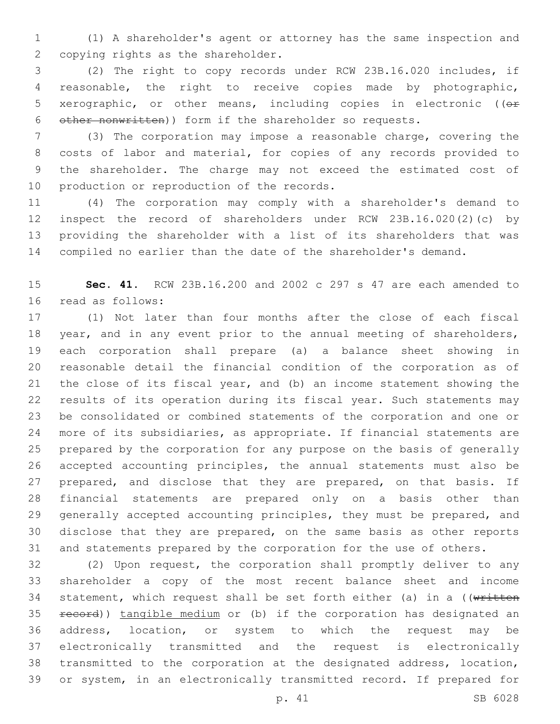(1) A shareholder's agent or attorney has the same inspection and 2 copying rights as the shareholder.

 (2) The right to copy records under RCW 23B.16.020 includes, if reasonable, the right to receive copies made by photographic, 5 xerographic, or other means, including copies in electronic ((or other nonwritten)) form if the shareholder so requests.

 (3) The corporation may impose a reasonable charge, covering the costs of labor and material, for copies of any records provided to the shareholder. The charge may not exceed the estimated cost of 10 production or reproduction of the records.

 (4) The corporation may comply with a shareholder's demand to inspect the record of shareholders under RCW 23B.16.020(2)(c) by providing the shareholder with a list of its shareholders that was compiled no earlier than the date of the shareholder's demand.

 **Sec. 41.** RCW 23B.16.200 and 2002 c 297 s 47 are each amended to 16 read as follows:

 (1) Not later than four months after the close of each fiscal year, and in any event prior to the annual meeting of shareholders, each corporation shall prepare (a) a balance sheet showing in reasonable detail the financial condition of the corporation as of the close of its fiscal year, and (b) an income statement showing the results of its operation during its fiscal year. Such statements may be consolidated or combined statements of the corporation and one or more of its subsidiaries, as appropriate. If financial statements are prepared by the corporation for any purpose on the basis of generally accepted accounting principles, the annual statements must also be 27 prepared, and disclose that they are prepared, on that basis. If financial statements are prepared only on a basis other than generally accepted accounting principles, they must be prepared, and disclose that they are prepared, on the same basis as other reports and statements prepared by the corporation for the use of others.

 (2) Upon request, the corporation shall promptly deliver to any shareholder a copy of the most recent balance sheet and income 34 statement, which request shall be set forth either (a) in a ((written 35 record)) tangible medium or (b) if the corporation has designated an address, location, or system to which the request may be electronically transmitted and the request is electronically transmitted to the corporation at the designated address, location, or system, in an electronically transmitted record. If prepared for

p. 41 SB 6028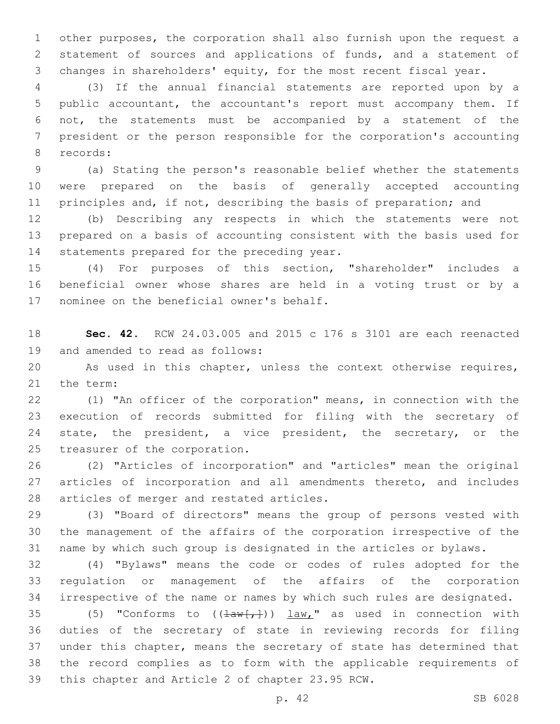other purposes, the corporation shall also furnish upon the request a statement of sources and applications of funds, and a statement of changes in shareholders' equity, for the most recent fiscal year.

 (3) If the annual financial statements are reported upon by a public accountant, the accountant's report must accompany them. If not, the statements must be accompanied by a statement of the president or the person responsible for the corporation's accounting 8 records:

 (a) Stating the person's reasonable belief whether the statements were prepared on the basis of generally accepted accounting 11 principles and, if not, describing the basis of preparation; and

 (b) Describing any respects in which the statements were not prepared on a basis of accounting consistent with the basis used for 14 statements prepared for the preceding year.

 (4) For purposes of this section, "shareholder" includes a beneficial owner whose shares are held in a voting trust or by a 17 nominee on the beneficial owner's behalf.

 **Sec. 42.** RCW 24.03.005 and 2015 c 176 s 3101 are each reenacted 19 and amended to read as follows:

 As used in this chapter, unless the context otherwise requires, 21 the term:

 (1) "An officer of the corporation" means, in connection with the execution of records submitted for filing with the secretary of 24 state, the president, a vice president, the secretary, or the 25 treasurer of the corporation.

 (2) "Articles of incorporation" and "articles" mean the original articles of incorporation and all amendments thereto, and includes 28 articles of merger and restated articles.

 (3) "Board of directors" means the group of persons vested with the management of the affairs of the corporation irrespective of the name by which such group is designated in the articles or bylaws.

 (4) "Bylaws" means the code or codes of rules adopted for the regulation or management of the affairs of the corporation irrespective of the name or names by which such rules are designated.

35 (5) "Conforms to  $((\pm \text{aw}[\tau)^{\perp}))$   $\pm \text{aw}[\tau]$  as used in connection with duties of the secretary of state in reviewing records for filing under this chapter, means the secretary of state has determined that the record complies as to form with the applicable requirements of 39 this chapter and Article 2 of chapter 23.95 RCW.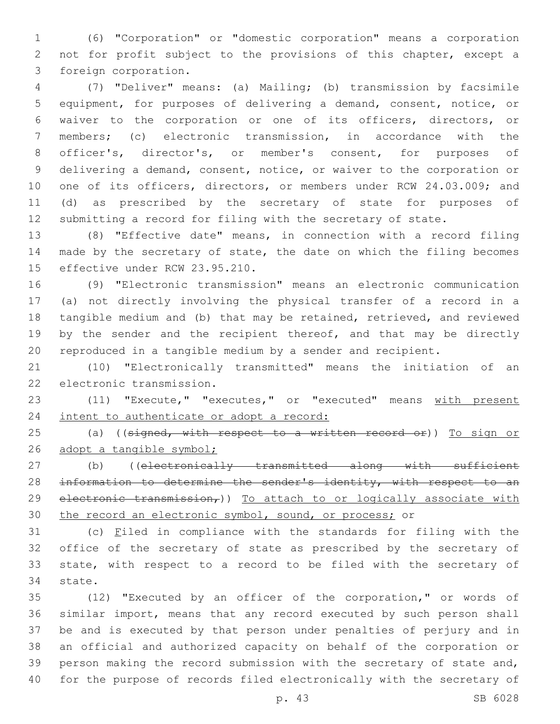(6) "Corporation" or "domestic corporation" means a corporation not for profit subject to the provisions of this chapter, except a 3 foreign corporation.

 (7) "Deliver" means: (a) Mailing; (b) transmission by facsimile equipment, for purposes of delivering a demand, consent, notice, or waiver to the corporation or one of its officers, directors, or members; (c) electronic transmission, in accordance with the officer's, director's, or member's consent, for purposes of delivering a demand, consent, notice, or waiver to the corporation or one of its officers, directors, or members under RCW 24.03.009; and (d) as prescribed by the secretary of state for purposes of submitting a record for filing with the secretary of state.

 (8) "Effective date" means, in connection with a record filing made by the secretary of state, the date on which the filing becomes 15 effective under RCW 23.95.210.

 (9) "Electronic transmission" means an electronic communication (a) not directly involving the physical transfer of a record in a tangible medium and (b) that may be retained, retrieved, and reviewed 19 by the sender and the recipient thereof, and that may be directly reproduced in a tangible medium by a sender and recipient.

 (10) "Electronically transmitted" means the initiation of an 22 electronic transmission.

23 (11) "Execute," "executes," or "executed" means with present 24 intent to authenticate or adopt a record:

25 (a) ((signed, with respect to a written record or)) To sign or 26 adopt a tangible symbol;

 (b) ((electronically transmitted along with sufficient 28 information to determine the sender's identity, with respect to an 29 electronic transmission,)) To attach to or logically associate with 30 the record an electronic symbol, sound, or process; or

 (c) Filed in compliance with the standards for filing with the office of the secretary of state as prescribed by the secretary of state, with respect to a record to be filed with the secretary of 34 state.

 (12) "Executed by an officer of the corporation," or words of similar import, means that any record executed by such person shall be and is executed by that person under penalties of perjury and in an official and authorized capacity on behalf of the corporation or person making the record submission with the secretary of state and, for the purpose of records filed electronically with the secretary of

p. 43 SB 6028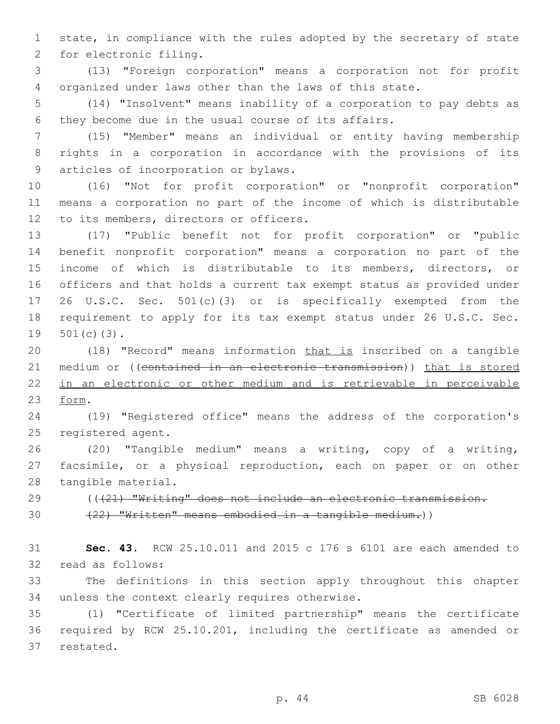state, in compliance with the rules adopted by the secretary of state 2 for electronic filing.

 (13) "Foreign corporation" means a corporation not for profit organized under laws other than the laws of this state.

 (14) "Insolvent" means inability of a corporation to pay debts as they become due in the usual course of its affairs.

 (15) "Member" means an individual or entity having membership rights in a corporation in accordance with the provisions of its 9 articles of incorporation or bylaws.

 (16) "Not for profit corporation" or "nonprofit corporation" means a corporation no part of the income of which is distributable 12 to its members, directors or officers.

 (17) "Public benefit not for profit corporation" or "public benefit nonprofit corporation" means a corporation no part of the income of which is distributable to its members, directors, or officers and that holds a current tax exempt status as provided under 26 U.S.C. Sec. 501(c)(3) or is specifically exempted from the requirement to apply for its tax exempt status under 26 U.S.C. Sec.  $19 501(c)(3)$ .

 (18) "Record" means information that is inscribed on a tangible 21 medium or ((contained in an electronic transmission)) that is stored in an electronic or other medium and is retrievable in perceivable 23 form.

 (19) "Registered office" means the address of the corporation's 25 registered agent.

 (20) "Tangible medium" means a writing, copy of a writing, facsimile, or a physical reproduction, each on paper or on other 28 tangible material.

 (((21) "Writing" does not include an electronic transmission. (22) "Written" means embodied in a tangible medium.))

 **Sec. 43.** RCW 25.10.011 and 2015 c 176 s 6101 are each amended to read as follows:32

 The definitions in this section apply throughout this chapter 34 unless the context clearly requires otherwise.

 (1) "Certificate of limited partnership" means the certificate required by RCW 25.10.201, including the certificate as amended or 37 restated.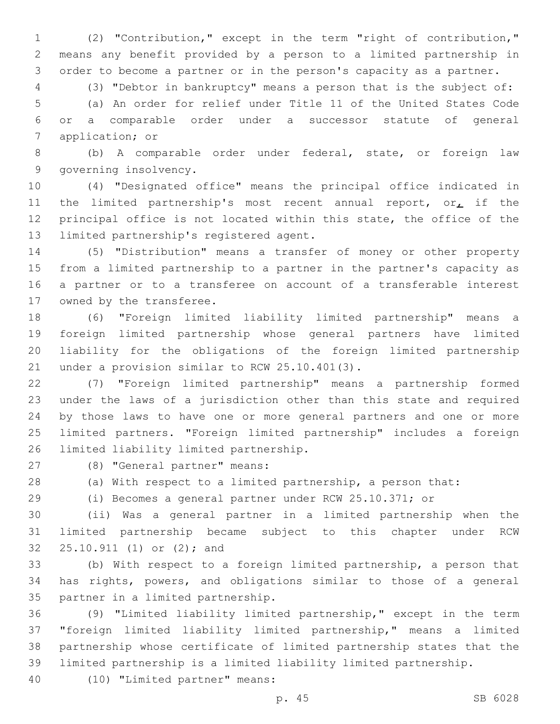(2) "Contribution," except in the term "right of contribution," means any benefit provided by a person to a limited partnership in order to become a partner or in the person's capacity as a partner.

 (3) "Debtor in bankruptcy" means a person that is the subject of: (a) An order for relief under Title 11 of the United States Code or a comparable order under a successor statute of general 7 application; or

 (b) A comparable order under federal, state, or foreign law 9 governing insolvency.

 (4) "Designated office" means the principal office indicated in 11 the limited partnership's most recent annual report, or, if the principal office is not located within this state, the office of the 13 limited partnership's registered agent.

 (5) "Distribution" means a transfer of money or other property from a limited partnership to a partner in the partner's capacity as a partner or to a transferee on account of a transferable interest 17 owned by the transferee.

 (6) "Foreign limited liability limited partnership" means a foreign limited partnership whose general partners have limited liability for the obligations of the foreign limited partnership 21 under a provision similar to RCW 25.10.401(3).

 (7) "Foreign limited partnership" means a partnership formed under the laws of a jurisdiction other than this state and required by those laws to have one or more general partners and one or more limited partners. "Foreign limited partnership" includes a foreign 26 limited liability limited partnership.

(8) "General partner" means:27

(a) With respect to a limited partnership, a person that:

(i) Becomes a general partner under RCW 25.10.371; or

 (ii) Was a general partner in a limited partnership when the limited partnership became subject to this chapter under RCW 32 25.10.911 (1) or (2); and

 (b) With respect to a foreign limited partnership, a person that has rights, powers, and obligations similar to those of a general 35 partner in a limited partnership.

 (9) "Limited liability limited partnership," except in the term "foreign limited liability limited partnership," means a limited partnership whose certificate of limited partnership states that the limited partnership is a limited liability limited partnership.

(10) "Limited partner" means:40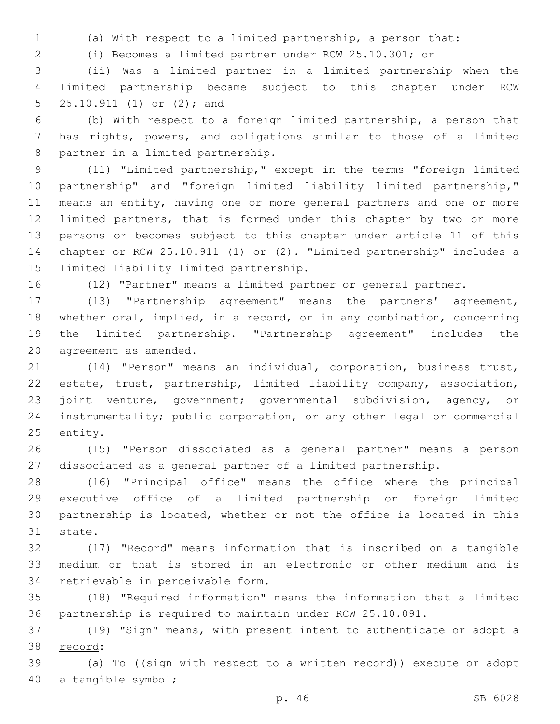(a) With respect to a limited partnership, a person that:

(i) Becomes a limited partner under RCW 25.10.301; or

 (ii) Was a limited partner in a limited partnership when the limited partnership became subject to this chapter under RCW 5 25.10.911 (1) or (2); and

 (b) With respect to a foreign limited partnership, a person that has rights, powers, and obligations similar to those of a limited 8 partner in a limited partnership.

 (11) "Limited partnership," except in the terms "foreign limited partnership" and "foreign limited liability limited partnership," means an entity, having one or more general partners and one or more limited partners, that is formed under this chapter by two or more persons or becomes subject to this chapter under article 11 of this chapter or RCW 25.10.911 (1) or (2). "Limited partnership" includes a 15 limited liability limited partnership.

(12) "Partner" means a limited partner or general partner.

 (13) "Partnership agreement" means the partners' agreement, whether oral, implied, in a record, or in any combination, concerning the limited partnership. "Partnership agreement" includes the 20 agreement as amended.

 (14) "Person" means an individual, corporation, business trust, estate, trust, partnership, limited liability company, association, joint venture, government; governmental subdivision, agency, or instrumentality; public corporation, or any other legal or commercial 25 entity.

 (15) "Person dissociated as a general partner" means a person dissociated as a general partner of a limited partnership.

 (16) "Principal office" means the office where the principal executive office of a limited partnership or foreign limited partnership is located, whether or not the office is located in this 31 state.

 (17) "Record" means information that is inscribed on a tangible medium or that is stored in an electronic or other medium and is 34 retrievable in perceivable form.

 (18) "Required information" means the information that a limited partnership is required to maintain under RCW 25.10.091.

 (19) "Sign" means, with present intent to authenticate or adopt a 38 record:

 (a) To ((sign with respect to a written record)) execute or adopt 40 a tangible symbol;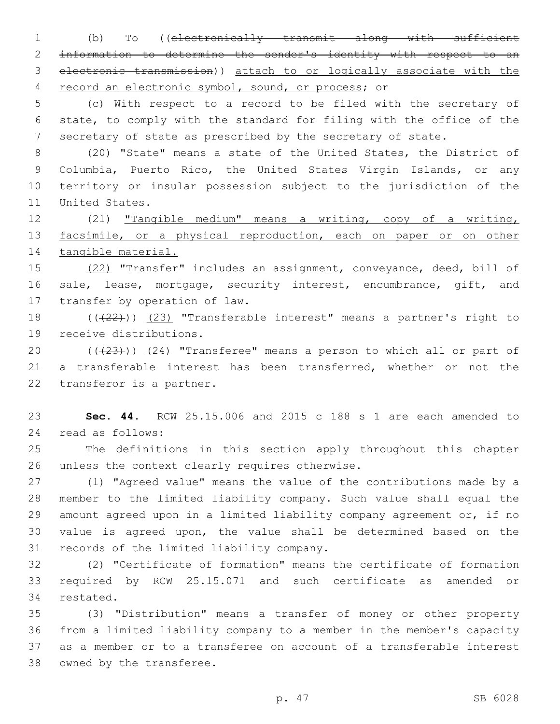1 (b) To ((electronically transmit along with sufficient 2 information to determine the sender's identity with respect to an 3 electronic transmission)) attach to or logically associate with the 4 record an electronic symbol, sound, or process; or

5 (c) With respect to a record to be filed with the secretary of 6 state, to comply with the standard for filing with the office of the 7 secretary of state as prescribed by the secretary of state.

 (20) "State" means a state of the United States, the District of Columbia, Puerto Rico, the United States Virgin Islands, or any territory or insular possession subject to the jurisdiction of the 11 United States.

12 (21) "Tangible medium" means a writing, copy of a writing, 13 facsimile, or a physical reproduction, each on paper or on other 14 tangible material.

15 (22) "Transfer" includes an assignment, conveyance, deed, bill of 16 sale, lease, mortgage, security interest, encumbrance, gift, and 17 transfer by operation of law.

18 (( $(22)$ )) (23) "Transferable interest" means a partner's right to 19 receive distributions.

20  $((+23))$   $(24)$  "Transferee" means a person to which all or part of 21 a transferable interest has been transferred, whether or not the 22 transferor is a partner.

23 **Sec. 44.** RCW 25.15.006 and 2015 c 188 s 1 are each amended to 24 read as follows:

25 The definitions in this section apply throughout this chapter 26 unless the context clearly requires otherwise.

 (1) "Agreed value" means the value of the contributions made by a member to the limited liability company. Such value shall equal the amount agreed upon in a limited liability company agreement or, if no value is agreed upon, the value shall be determined based on the 31 records of the limited liability company.

32 (2) "Certificate of formation" means the certificate of formation 33 required by RCW 25.15.071 and such certificate as amended or 34 restated.

 (3) "Distribution" means a transfer of money or other property from a limited liability company to a member in the member's capacity as a member or to a transferee on account of a transferable interest 38 owned by the transferee.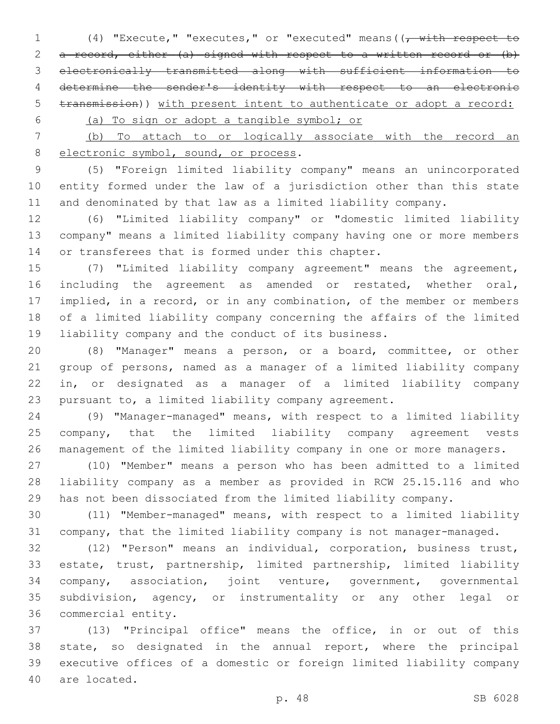1 (4) "Execute," "executes," or "executed" means((<del>, with respect to</del> 2 a record, either (a) signed with respect to a written record or (b) electronically transmitted along with sufficient information to determine the sender's identity with respect to an electronic transmission)) with present intent to authenticate or adopt a record:

(a) To sign or adopt a tangible symbol; or

 (b) To attach to or logically associate with the record an 8 electronic symbol, sound, or process.

 (5) "Foreign limited liability company" means an unincorporated entity formed under the law of a jurisdiction other than this state and denominated by that law as a limited liability company.

 (6) "Limited liability company" or "domestic limited liability company" means a limited liability company having one or more members 14 or transferees that is formed under this chapter.

 (7) "Limited liability company agreement" means the agreement, including the agreement as amended or restated, whether oral, implied, in a record, or in any combination, of the member or members of a limited liability company concerning the affairs of the limited liability company and the conduct of its business.

 (8) "Manager" means a person, or a board, committee, or other group of persons, named as a manager of a limited liability company in, or designated as a manager of a limited liability company pursuant to, a limited liability company agreement.

 (9) "Manager-managed" means, with respect to a limited liability company, that the limited liability company agreement vests management of the limited liability company in one or more managers.

 (10) "Member" means a person who has been admitted to a limited liability company as a member as provided in RCW 25.15.116 and who has not been dissociated from the limited liability company.

 (11) "Member-managed" means, with respect to a limited liability company, that the limited liability company is not manager-managed.

 (12) "Person" means an individual, corporation, business trust, estate, trust, partnership, limited partnership, limited liability company, association, joint venture, government, governmental subdivision, agency, or instrumentality or any other legal or 36 commercial entity.

 (13) "Principal office" means the office, in or out of this state, so designated in the annual report, where the principal executive offices of a domestic or foreign limited liability company 40 are located.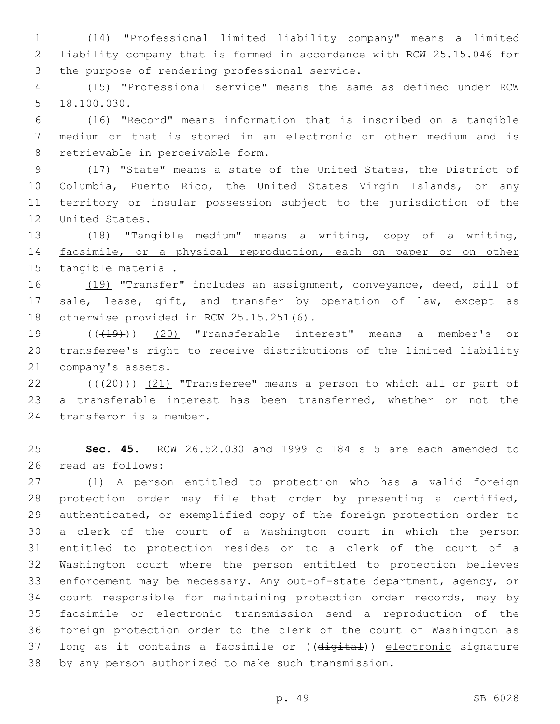(14) "Professional limited liability company" means a limited liability company that is formed in accordance with RCW 25.15.046 for 3 the purpose of rendering professional service.

 (15) "Professional service" means the same as defined under RCW 18.100.030.5

 (16) "Record" means information that is inscribed on a tangible medium or that is stored in an electronic or other medium and is 8 retrievable in perceivable form.

 (17) "State" means a state of the United States, the District of Columbia, Puerto Rico, the United States Virgin Islands, or any territory or insular possession subject to the jurisdiction of the 12 United States.

 (18) "Tangible medium" means a writing, copy of a writing, facsimile, or a physical reproduction, each on paper or on other tangible material.

 (19) "Transfer" includes an assignment, conveyance, deed, bill of sale, lease, gift, and transfer by operation of law, except as 18 otherwise provided in RCW 25.15.251(6).

19 (( $(419)$ ) (20) "Transferable interest" means a member's or transferee's right to receive distributions of the limited liability 21 company's assets.

 $(1)(20)$  ( $(20)$ )) (21) "Transferee" means a person to which all or part of a transferable interest has been transferred, whether or not the 24 transferor is a member.

 **Sec. 45.** RCW 26.52.030 and 1999 c 184 s 5 are each amended to 26 read as follows:

 (1) A person entitled to protection who has a valid foreign protection order may file that order by presenting a certified, authenticated, or exemplified copy of the foreign protection order to a clerk of the court of a Washington court in which the person entitled to protection resides or to a clerk of the court of a Washington court where the person entitled to protection believes enforcement may be necessary. Any out-of-state department, agency, or court responsible for maintaining protection order records, may by facsimile or electronic transmission send a reproduction of the foreign protection order to the clerk of the court of Washington as 37 long as it contains a facsimile or ((digital)) electronic signature by any person authorized to make such transmission.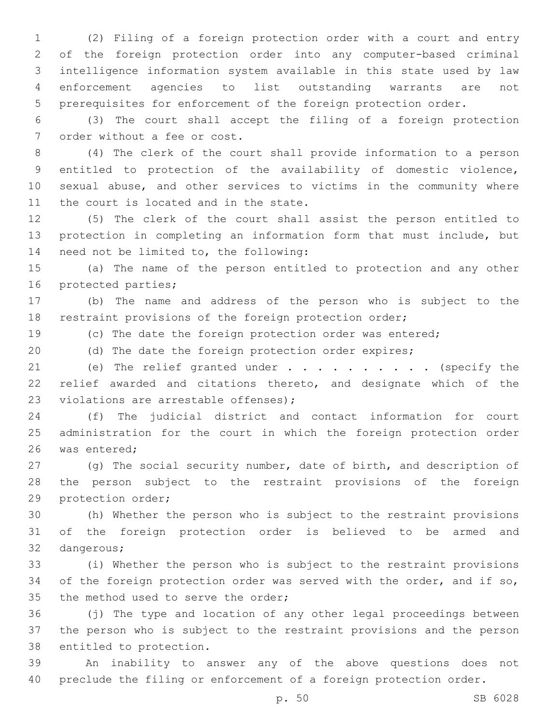(2) Filing of a foreign protection order with a court and entry of the foreign protection order into any computer-based criminal intelligence information system available in this state used by law enforcement agencies to list outstanding warrants are not prerequisites for enforcement of the foreign protection order.

 (3) The court shall accept the filing of a foreign protection 7 order without a fee or cost.

 (4) The clerk of the court shall provide information to a person entitled to protection of the availability of domestic violence, sexual abuse, and other services to victims in the community where 11 the court is located and in the state.

 (5) The clerk of the court shall assist the person entitled to protection in completing an information form that must include, but 14 need not be limited to, the following:

 (a) The name of the person entitled to protection and any other 16 protected parties;

 (b) The name and address of the person who is subject to the 18 restraint provisions of the foreign protection order;

(c) The date the foreign protection order was entered;

(d) The date the foreign protection order expires;

21 (e) The relief granted under . . . . . . . . . (specify the relief awarded and citations thereto, and designate which of the 23 violations are arrestable offenses);

 (f) The judicial district and contact information for court administration for the court in which the foreign protection order 26 was entered:

 (g) The social security number, date of birth, and description of the person subject to the restraint provisions of the foreign 29 protection order;

 (h) Whether the person who is subject to the restraint provisions of the foreign protection order is believed to be armed and 32 dangerous;

 (i) Whether the person who is subject to the restraint provisions 34 of the foreign protection order was served with the order, and if so, 35 the method used to serve the order;

 (j) The type and location of any other legal proceedings between the person who is subject to the restraint provisions and the person 38 entitled to protection.

 An inability to answer any of the above questions does not preclude the filing or enforcement of a foreign protection order.

p. 50 SB 6028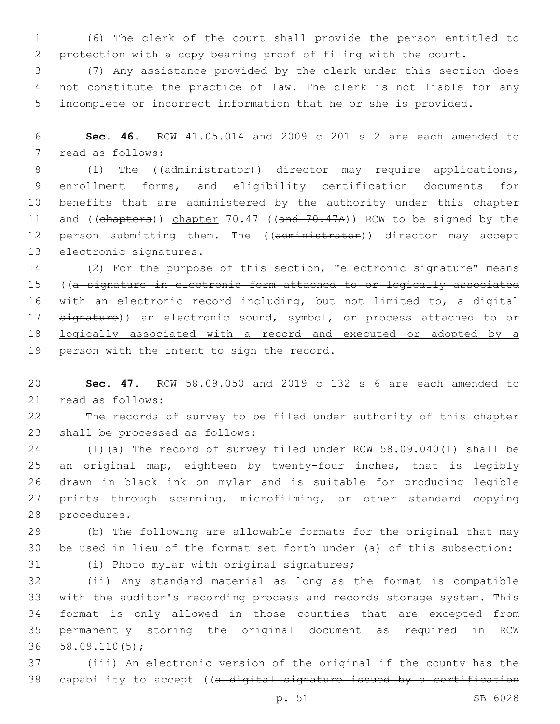(6) The clerk of the court shall provide the person entitled to protection with a copy bearing proof of filing with the court.

 (7) Any assistance provided by the clerk under this section does not constitute the practice of law. The clerk is not liable for any incomplete or incorrect information that he or she is provided.

 **Sec. 46.** RCW 41.05.014 and 2009 c 201 s 2 are each amended to 7 read as follows:

8 (1) The ((administrator)) director may require applications, enrollment forms, and eligibility certification documents for benefits that are administered by the authority under this chapter 11 and ((chapters)) chapter 70.47 ((and 70.47A)) RCW to be signed by the 12 person submitting them. The ((administrator)) director may accept 13 electronic signatures.

 (2) For the purpose of this section, "electronic signature" means ((a signature in electronic form attached to or logically associated with an electronic record including, but not limited to, a digital 17 signature)) an electronic sound, symbol, or process attached to or logically associated with a record and executed or adopted by a 19 person with the intent to sign the record.

 **Sec. 47.** RCW 58.09.050 and 2019 c 132 s 6 are each amended to 21 read as follows:

 The records of survey to be filed under authority of this chapter 23 shall be processed as follows:

 (1)(a) The record of survey filed under RCW 58.09.040(1) shall be an original map, eighteen by twenty-four inches, that is legibly drawn in black ink on mylar and is suitable for producing legible prints through scanning, microfilming, or other standard copying 28 procedures.

 (b) The following are allowable formats for the original that may be used in lieu of the format set forth under (a) of this subsection:

- 
- 31 (i) Photo mylar with original signatures;

 (ii) Any standard material as long as the format is compatible with the auditor's recording process and records storage system. This format is only allowed in those counties that are excepted from permanently storing the original document as required in RCW  $58.09.110(5)$ ;

 (iii) An electronic version of the original if the county has the 38 capability to accept ((a digital signature issued by a certification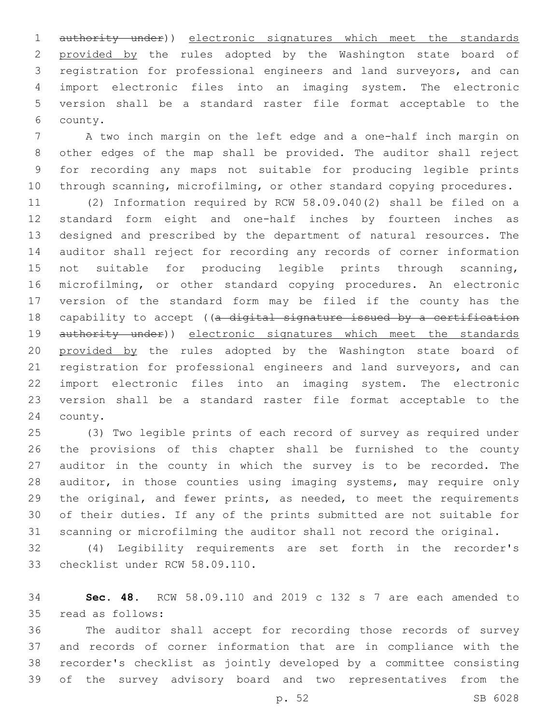authority under)) electronic signatures which meet the standards provided by the rules adopted by the Washington state board of registration for professional engineers and land surveyors, and can import electronic files into an imaging system. The electronic version shall be a standard raster file format acceptable to the county.6

 A two inch margin on the left edge and a one-half inch margin on other edges of the map shall be provided. The auditor shall reject for recording any maps not suitable for producing legible prints through scanning, microfilming, or other standard copying procedures.

 (2) Information required by RCW 58.09.040(2) shall be filed on a standard form eight and one-half inches by fourteen inches as designed and prescribed by the department of natural resources. The auditor shall reject for recording any records of corner information not suitable for producing legible prints through scanning, microfilming, or other standard copying procedures. An electronic version of the standard form may be filed if the county has the 18 capability to accept ((a digital signature issued by a certification 19 authority under)) electronic signatures which meet the standards 20 provided by the rules adopted by the Washington state board of registration for professional engineers and land surveyors, and can import electronic files into an imaging system. The electronic version shall be a standard raster file format acceptable to the 24 county.

 (3) Two legible prints of each record of survey as required under the provisions of this chapter shall be furnished to the county auditor in the county in which the survey is to be recorded. The auditor, in those counties using imaging systems, may require only the original, and fewer prints, as needed, to meet the requirements of their duties. If any of the prints submitted are not suitable for scanning or microfilming the auditor shall not record the original.

 (4) Legibility requirements are set forth in the recorder's 33 checklist under RCW 58.09.110.

 **Sec. 48.** RCW 58.09.110 and 2019 c 132 s 7 are each amended to 35 read as follows:

 The auditor shall accept for recording those records of survey and records of corner information that are in compliance with the recorder's checklist as jointly developed by a committee consisting of the survey advisory board and two representatives from the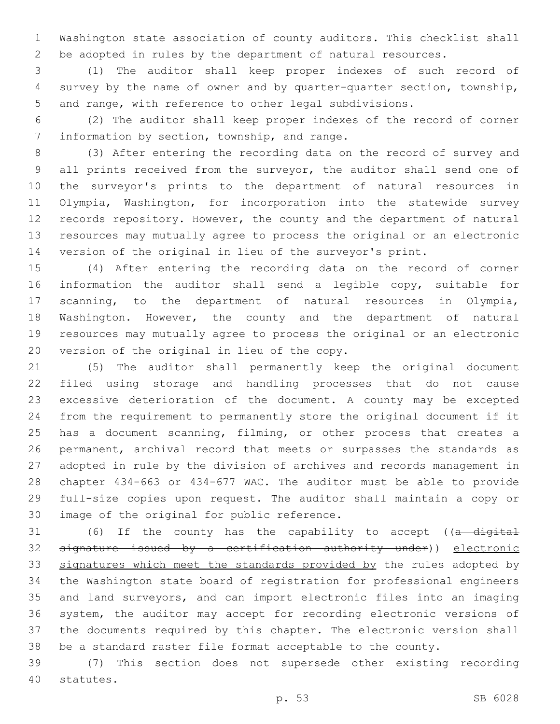Washington state association of county auditors. This checklist shall be adopted in rules by the department of natural resources.

 (1) The auditor shall keep proper indexes of such record of survey by the name of owner and by quarter-quarter section, township, and range, with reference to other legal subdivisions.

 (2) The auditor shall keep proper indexes of the record of corner 7 information by section, township, and range.

 (3) After entering the recording data on the record of survey and all prints received from the surveyor, the auditor shall send one of the surveyor's prints to the department of natural resources in Olympia, Washington, for incorporation into the statewide survey records repository. However, the county and the department of natural resources may mutually agree to process the original or an electronic version of the original in lieu of the surveyor's print.

 (4) After entering the recording data on the record of corner information the auditor shall send a legible copy, suitable for scanning, to the department of natural resources in Olympia, Washington. However, the county and the department of natural resources may mutually agree to process the original or an electronic 20 version of the original in lieu of the copy.

 (5) The auditor shall permanently keep the original document filed using storage and handling processes that do not cause excessive deterioration of the document. A county may be excepted from the requirement to permanently store the original document if it 25 has a document scanning, filming, or other process that creates a permanent, archival record that meets or surpasses the standards as adopted in rule by the division of archives and records management in chapter 434-663 or 434-677 WAC. The auditor must be able to provide full-size copies upon request. The auditor shall maintain a copy or 30 image of the original for public reference.

31 (6) If the county has the capability to accept ((a digital signature issued by a certification authority under)) electronic 33 signatures which meet the standards provided by the rules adopted by the Washington state board of registration for professional engineers and land surveyors, and can import electronic files into an imaging system, the auditor may accept for recording electronic versions of the documents required by this chapter. The electronic version shall be a standard raster file format acceptable to the county.

 (7) This section does not supersede other existing recording 40 statutes.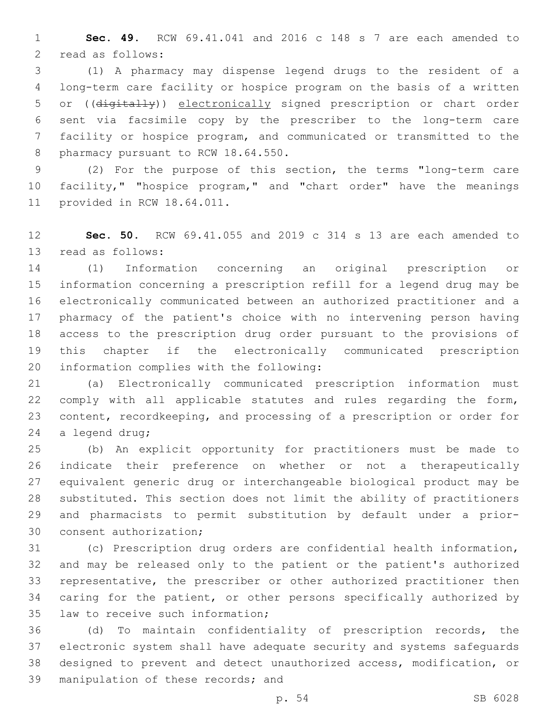**Sec. 49.** RCW 69.41.041 and 2016 c 148 s 7 are each amended to 2 read as follows:

 (1) A pharmacy may dispense legend drugs to the resident of a long-term care facility or hospice program on the basis of a written or ((digitally)) electronically signed prescription or chart order sent via facsimile copy by the prescriber to the long-term care facility or hospice program, and communicated or transmitted to the 8 pharmacy pursuant to RCW 18.64.550.

 (2) For the purpose of this section, the terms "long-term care facility," "hospice program," and "chart order" have the meanings 11 provided in RCW 18.64.011.

 **Sec. 50.** RCW 69.41.055 and 2019 c 314 s 13 are each amended to 13 read as follows:

 (1) Information concerning an original prescription or information concerning a prescription refill for a legend drug may be electronically communicated between an authorized practitioner and a pharmacy of the patient's choice with no intervening person having access to the prescription drug order pursuant to the provisions of this chapter if the electronically communicated prescription 20 information complies with the following:

 (a) Electronically communicated prescription information must comply with all applicable statutes and rules regarding the form, content, recordkeeping, and processing of a prescription or order for 24 a legend drug;

 (b) An explicit opportunity for practitioners must be made to indicate their preference on whether or not a therapeutically equivalent generic drug or interchangeable biological product may be substituted. This section does not limit the ability of practitioners and pharmacists to permit substitution by default under a prior-30 consent authorization;

 (c) Prescription drug orders are confidential health information, and may be released only to the patient or the patient's authorized representative, the prescriber or other authorized practitioner then 34 caring for the patient, or other persons specifically authorized by 35 law to receive such information;

 (d) To maintain confidentiality of prescription records, the electronic system shall have adequate security and systems safeguards designed to prevent and detect unauthorized access, modification, or 39 manipulation of these records; and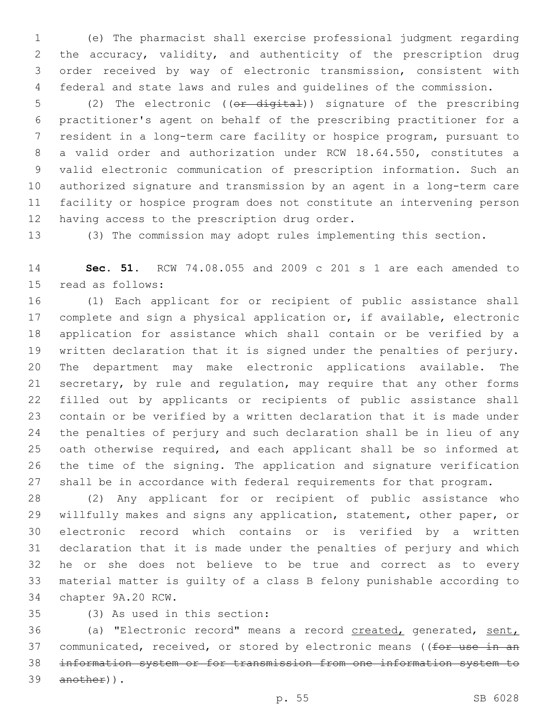(e) The pharmacist shall exercise professional judgment regarding the accuracy, validity, and authenticity of the prescription drug order received by way of electronic transmission, consistent with federal and state laws and rules and guidelines of the commission.

5 (2) The electronic ((or digital)) signature of the prescribing practitioner's agent on behalf of the prescribing practitioner for a resident in a long-term care facility or hospice program, pursuant to a valid order and authorization under RCW 18.64.550, constitutes a valid electronic communication of prescription information. Such an authorized signature and transmission by an agent in a long-term care facility or hospice program does not constitute an intervening person 12 having access to the prescription drug order.

(3) The commission may adopt rules implementing this section.

 **Sec. 51.** RCW 74.08.055 and 2009 c 201 s 1 are each amended to 15 read as follows:

 (1) Each applicant for or recipient of public assistance shall complete and sign a physical application or, if available, electronic application for assistance which shall contain or be verified by a written declaration that it is signed under the penalties of perjury. The department may make electronic applications available. The 21 secretary, by rule and regulation, may require that any other forms filled out by applicants or recipients of public assistance shall contain or be verified by a written declaration that it is made under the penalties of perjury and such declaration shall be in lieu of any 25 oath otherwise required, and each applicant shall be so informed at the time of the signing. The application and signature verification shall be in accordance with federal requirements for that program.

 (2) Any applicant for or recipient of public assistance who willfully makes and signs any application, statement, other paper, or electronic record which contains or is verified by a written declaration that it is made under the penalties of perjury and which he or she does not believe to be true and correct as to every material matter is guilty of a class B felony punishable according to 34 chapter 9A.20 RCW.

(3) As used in this section:35

 (a) "Electronic record" means a record created, generated, sent, 37 communicated, received, or stored by electronic means ((for use in an information system or for transmission from one information system to 39 another)).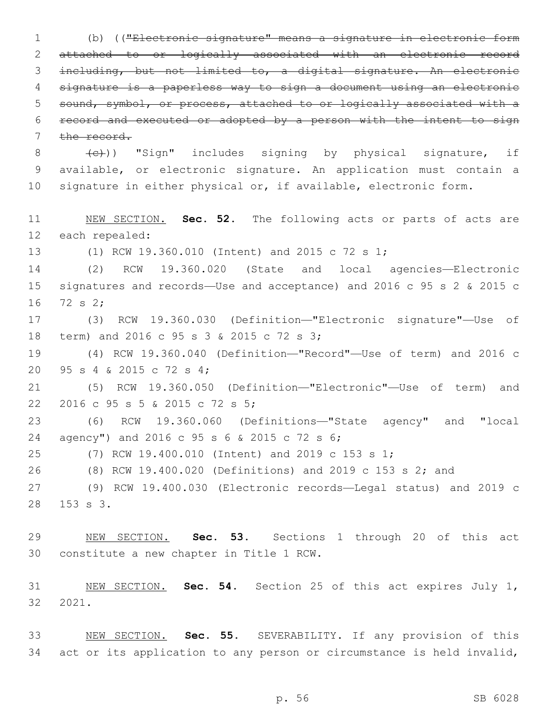(b) (("Electronic signature" means a signature in electronic form attached to or logically associated with an electronic record including, but not limited to, a digital signature. An electronic signature is a paperless way to sign a document using an electronic sound, symbol, or process, attached to or logically associated with a record and executed or adopted by a person with the intent to sign 7 the record.

 (e)) "Sign" includes signing by physical signature, if available, or electronic signature. An application must contain a signature in either physical or, if available, electronic form.

 NEW SECTION. **Sec. 52.** The following acts or parts of acts are each repealed:

(1) RCW 19.360.010 (Intent) and 2015 c 72 s 1;

 (2) RCW 19.360.020 (State and local agencies—Electronic signatures and records—Use and acceptance) and 2016 c 95 s 2 & 2015 c 16 72 s 2;

 (3) RCW 19.360.030 (Definition—"Electronic signature"—Use of 18 term) and 2016 c 95 s 3 & 2015 c 72 s 3;

 (4) RCW 19.360.040 (Definition—"Record"—Use of term) and 2016 c 20 95 s 4 & 2015 c 72 s 4;

 (5) RCW 19.360.050 (Definition—"Electronic"—Use of term) and 22 2016 c 95 s 5 & 2015 c 72 s 5;

 (6) RCW 19.360.060 (Definitions—"State agency" and "local 24 agency") and 2016 c 95 s 6 & 2015 c 72 s 6;

(7) RCW 19.400.010 (Intent) and 2019 c 153 s 1;

(8) RCW 19.400.020 (Definitions) and 2019 c 153 s 2; and

 (9) RCW 19.400.030 (Electronic records—Legal status) and 2019 c 28 153 s 3.

 NEW SECTION. **Sec. 53.** Sections 1 through 20 of this act constitute a new chapter in Title 1 RCW.

 NEW SECTION. **Sec. 54.** Section 25 of this act expires July 1, 2021.

 NEW SECTION. **Sec. 55.** SEVERABILITY. If any provision of this act or its application to any person or circumstance is held invalid,